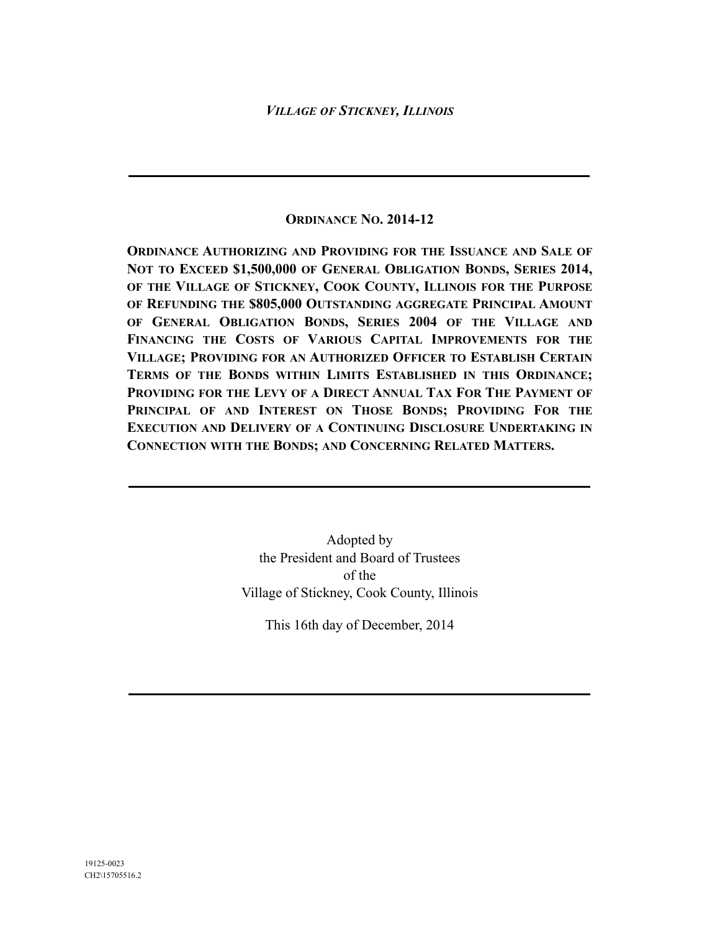## **ORDINANCE NO. 2014-12**

**ORDINANCE AUTHORIZING AND PROVIDING FOR THE ISSUANCE AND SALE OF NOT TO EXCEED \$1,500,000 OF GENERAL OBLIGATION BONDS, SERIES 2014, OF THE VILLAGE OF STICKNEY, COOK COUNTY, ILLINOIS FOR THE PURPOSE OF REFUNDING THE \$805,000 OUTSTANDING AGGREGATE PRINCIPAL AMOUNT OF GENERAL OBLIGATION BONDS, SERIES 2004 OF THE VILLAGE AND FINANCING THE COSTS OF VARIOUS CAPITAL IMPROVEMENTS FOR THE VILLAGE; PROVIDING FOR AN AUTHORIZED OFFICER TO ESTABLISH CERTAIN TERMS OF THE BONDS WITHIN LIMITS ESTABLISHED IN THIS ORDINANCE; PROVIDING FOR THE LEVY OF A DIRECT ANNUAL TAX FOR THE PAYMENT OF PRINCIPAL OF AND INTEREST ON THOSE BONDS; PROVIDING FOR THE EXECUTION AND DELIVERY OF A CONTINUING DISCLOSURE UNDERTAKING IN CONNECTION WITH THE BONDS; AND CONCERNING RELATED MATTERS.**

> Adopted by the President and Board of Trustees of the Village of Stickney, Cook County, Illinois

This 16th day of December, 2014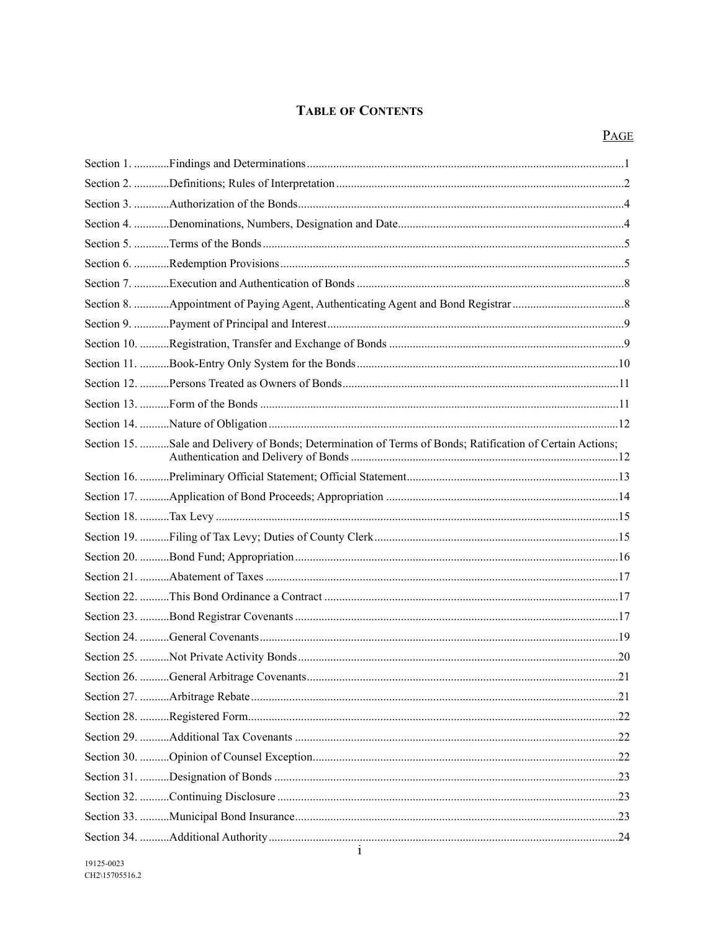### **TABLE OF CONTENTS**

| Section 15. Sale and Delivery of Bonds; Determination of Terms of Bonds; Ratification of Certain Actions; |     |
|-----------------------------------------------------------------------------------------------------------|-----|
|                                                                                                           |     |
|                                                                                                           |     |
|                                                                                                           |     |
|                                                                                                           |     |
|                                                                                                           |     |
|                                                                                                           |     |
|                                                                                                           |     |
|                                                                                                           |     |
|                                                                                                           |     |
|                                                                                                           |     |
|                                                                                                           | .21 |
|                                                                                                           |     |
|                                                                                                           |     |
|                                                                                                           |     |
|                                                                                                           |     |
|                                                                                                           |     |
|                                                                                                           |     |
|                                                                                                           |     |
|                                                                                                           |     |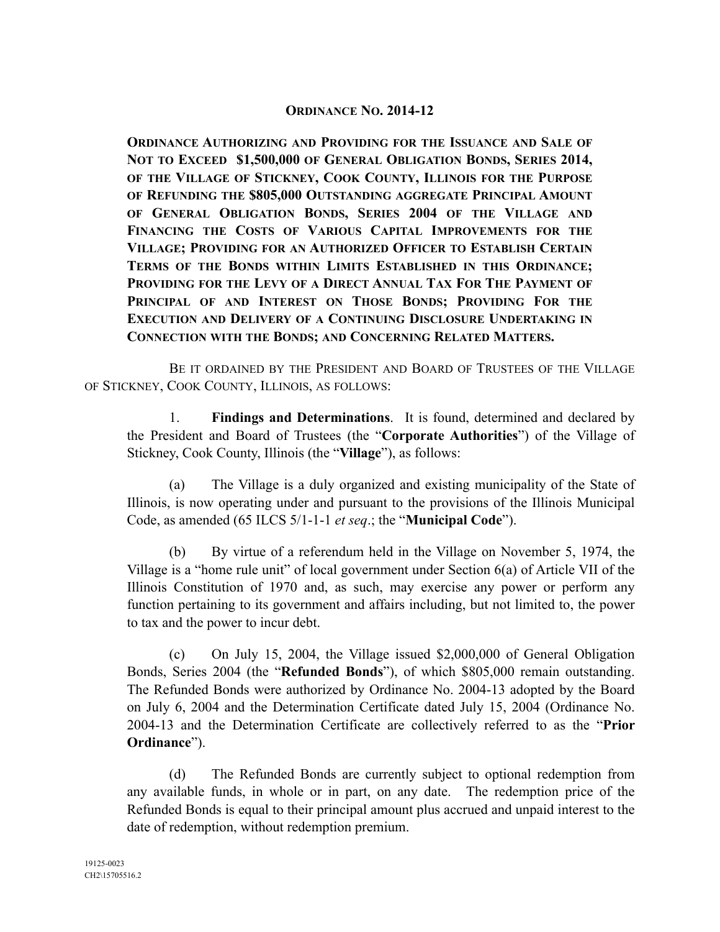## **ORDINANCE NO. 2014-12**

**ORDINANCE AUTHORIZING AND PROVIDING FOR THE ISSUANCE AND SALE OF NOT TO EXCEED \$1,500,000 OF GENERAL OBLIGATION BONDS, SERIES 2014, OF THE VILLAGE OF STICKNEY, COOK COUNTY, ILLINOIS FOR THE PURPOSE OF REFUNDING THE \$805,000 OUTSTANDING AGGREGATE PRINCIPAL AMOUNT OF GENERAL OBLIGATION BONDS, SERIES 2004 OF THE VILLAGE AND FINANCING THE COSTS OF VARIOUS CAPITAL IMPROVEMENTS FOR THE VILLAGE; PROVIDING FOR AN AUTHORIZED OFFICER TO ESTABLISH CERTAIN TERMS OF THE BONDS WITHIN LIMITS ESTABLISHED IN THIS ORDINANCE; PROVIDING FOR THE LEVY OF A DIRECT ANNUAL TAX FOR THE PAYMENT OF PRINCIPAL OF AND INTEREST ON THOSE BONDS; PROVIDING FOR THE EXECUTION AND DELIVERY OF A CONTINUING DISCLOSURE UNDERTAKING IN CONNECTION WITH THE BONDS; AND CONCERNING RELATED MATTERS.**

BE IT ORDAINED BY THE PRESIDENT AND BOARD OF TRUSTEES OF THE VILLAGE OF STICKNEY, COOK COUNTY, ILLINOIS, AS FOLLOWS:

1. **Findings and Determinations**.It is found, determined and declared by the President and Board of Trustees (the "**Corporate Authorities**") of the Village of Stickney, Cook County, Illinois (the "**Village**"), as follows:

(a) The Village is a duly organized and existing municipality of the State of Illinois, is now operating under and pursuant to the provisions of the Illinois Municipal Code, as amended (65 ILCS 5/1-1-1 *et seq*.; the "**Municipal Code**").

(b) By virtue of a referendum held in the Village on November 5, 1974, the Village is a "home rule unit" of local government under Section 6(a) of Article VII of the Illinois Constitution of 1970 and, as such, may exercise any power or perform any function pertaining to its government and affairs including, but not limited to, the power to tax and the power to incur debt.

(c) On July 15, 2004, the Village issued \$2,000,000 of General Obligation Bonds, Series 2004 (the "**Refunded Bonds**"), of which \$805,000 remain outstanding. The Refunded Bonds were authorized by Ordinance No. 2004-13 adopted by the Board on July 6, 2004 and the Determination Certificate dated July 15, 2004 (Ordinance No. 2004-13 and the Determination Certificate are collectively referred to as the "**Prior Ordinance**").

(d) The Refunded Bonds are currently subject to optional redemption from any available funds, in whole or in part, on any date. The redemption price of the Refunded Bonds is equal to their principal amount plus accrued and unpaid interest to the date of redemption, without redemption premium.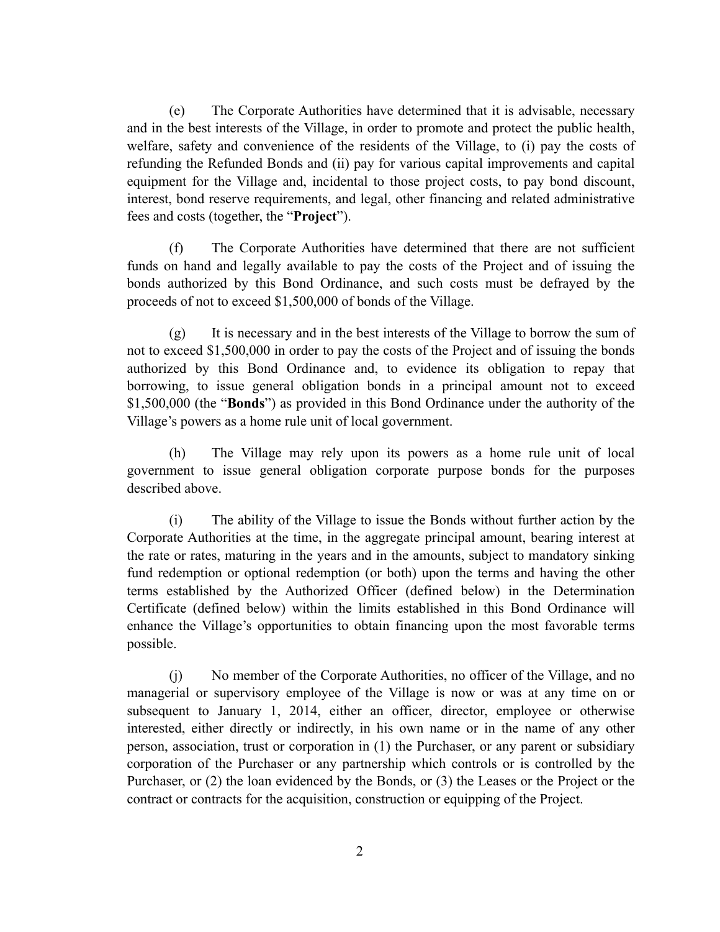(e) The Corporate Authorities have determined that it is advisable, necessary and in the best interests of the Village, in order to promote and protect the public health, welfare, safety and convenience of the residents of the Village, to (i) pay the costs of refunding the Refunded Bonds and (ii) pay for various capital improvements and capital equipment for the Village and, incidental to those project costs, to pay bond discount, interest, bond reserve requirements, and legal, other financing and related administrative fees and costs (together, the "**Project**").

(f) The Corporate Authorities have determined that there are not sufficient funds on hand and legally available to pay the costs of the Project and of issuing the bonds authorized by this Bond Ordinance, and such costs must be defrayed by the proceeds of not to exceed \$1,500,000 of bonds of the Village.

(g) It is necessary and in the best interests of the Village to borrow the sum of not to exceed \$1,500,000 in order to pay the costs of the Project and of issuing the bonds authorized by this Bond Ordinance and, to evidence its obligation to repay that borrowing, to issue general obligation bonds in a principal amount not to exceed \$1,500,000 (the "**Bonds**") as provided in this Bond Ordinance under the authority of the Village's powers as a home rule unit of local government.

(h) The Village may rely upon its powers as a home rule unit of local government to issue general obligation corporate purpose bonds for the purposes described above.

(i) The ability of the Village to issue the Bonds without further action by the Corporate Authorities at the time, in the aggregate principal amount, bearing interest at the rate or rates, maturing in the years and in the amounts, subject to mandatory sinking fund redemption or optional redemption (or both) upon the terms and having the other terms established by the Authorized Officer (defined below) in the Determination Certificate (defined below) within the limits established in this Bond Ordinance will enhance the Village's opportunities to obtain financing upon the most favorable terms possible.

(j) No member of the Corporate Authorities, no officer of the Village, and no managerial or supervisory employee of the Village is now or was at any time on or subsequent to January 1, 2014, either an officer, director, employee or otherwise interested, either directly or indirectly, in his own name or in the name of any other person, association, trust or corporation in (1) the Purchaser, or any parent or subsidiary corporation of the Purchaser or any partnership which controls or is controlled by the Purchaser, or (2) the loan evidenced by the Bonds, or (3) the Leases or the Project or the contract or contracts for the acquisition, construction or equipping of the Project.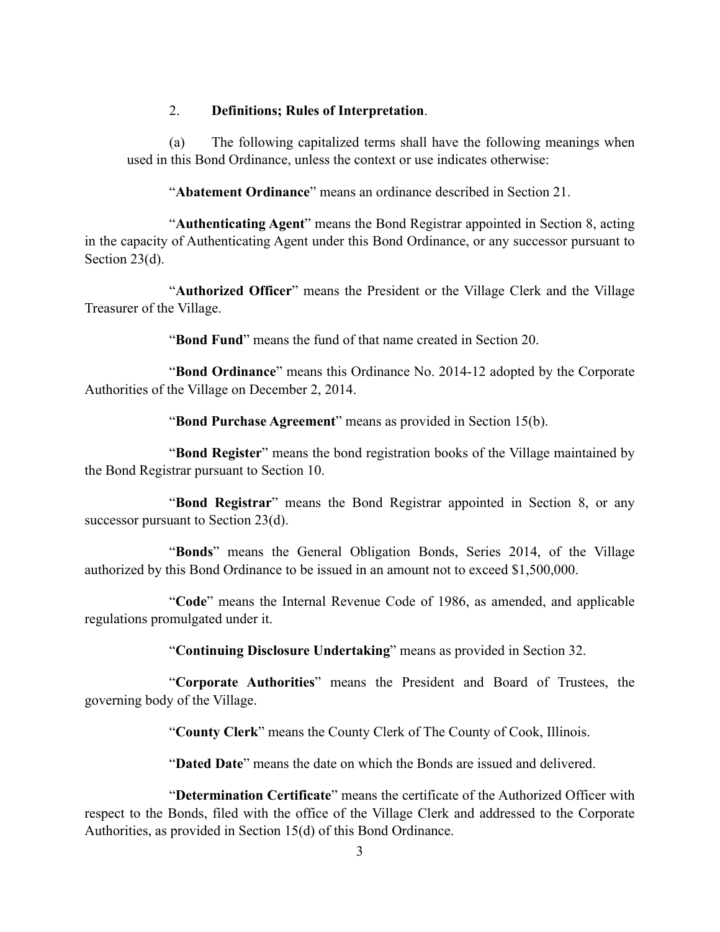### 2. **Definitions; Rules of Interpretation**.

(a) The following capitalized terms shall have the following meanings when used in this Bond Ordinance, unless the context or use indicates otherwise:

"**Abatement Ordinance**" means an ordinance described in Section 21.

"**Authenticating Agent**" means the Bond Registrar appointed in Section 8, acting in the capacity of Authenticating Agent under this Bond Ordinance, or any successor pursuant to Section 23(d).

"**Authorized Officer**" means the President or the Village Clerk and the Village Treasurer of the Village.

"**Bond Fund**" means the fund of that name created in Section 20.

"**Bond Ordinance**" means this Ordinance No. 2014-12 adopted by the Corporate Authorities of the Village on December 2, 2014.

"**Bond Purchase Agreement**" means as provided in Section 15(b).

"**Bond Register**" means the bond registration books of the Village maintained by the Bond Registrar pursuant to Section 10.

"**Bond Registrar**" means the Bond Registrar appointed in Section 8, or any successor pursuant to Section 23(d).

"**Bonds**" means the General Obligation Bonds, Series 2014, of the Village authorized by this Bond Ordinance to be issued in an amount not to exceed \$1,500,000.

"**Code**" means the Internal Revenue Code of 1986, as amended, and applicable regulations promulgated under it.

"**Continuing Disclosure Undertaking**" means as provided in Section 32.

"**Corporate Authorities**" means the President and Board of Trustees, the governing body of the Village.

"**County Clerk**" means the County Clerk of The County of Cook, Illinois.

"**Dated Date**" means the date on which the Bonds are issued and delivered.

"**Determination Certificate**" means the certificate of the Authorized Officer with respect to the Bonds, filed with the office of the Village Clerk and addressed to the Corporate Authorities, as provided in Section 15(d) of this Bond Ordinance.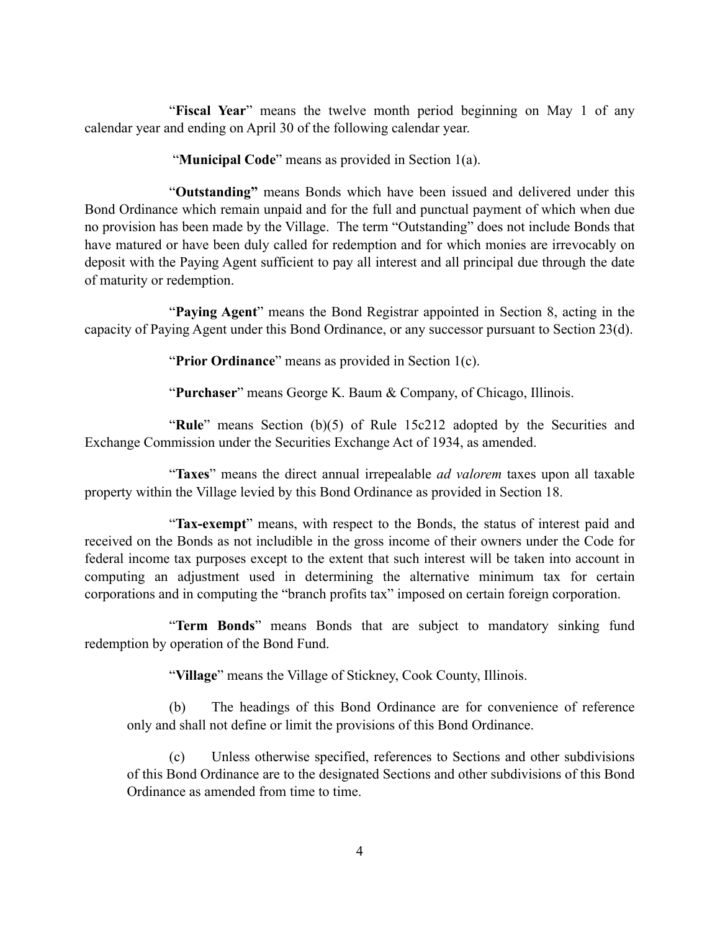"**Fiscal Year**" means the twelve month period beginning on May 1 of any calendar year and ending on April 30 of the following calendar year.

"**Municipal Code**" means as provided in Section 1(a).

"**Outstanding"** means Bonds which have been issued and delivered under this Bond Ordinance which remain unpaid and for the full and punctual payment of which when due no provision has been made by the Village. The term "Outstanding" does not include Bonds that have matured or have been duly called for redemption and for which monies are irrevocably on deposit with the Paying Agent sufficient to pay all interest and all principal due through the date of maturity or redemption.

"**Paying Agent**" means the Bond Registrar appointed in Section 8, acting in the capacity of Paying Agent under this Bond Ordinance, or any successor pursuant to Section 23(d).

"**Prior Ordinance**" means as provided in Section 1(c).

"**Purchaser**" means George K. Baum & Company, of Chicago, Illinois.

"**Rule**" means Section (b)(5) of Rule 15c212 adopted by the Securities and Exchange Commission under the Securities Exchange Act of 1934, as amended.

"**Taxes**" means the direct annual irrepealable *ad valorem* taxes upon all taxable property within the Village levied by this Bond Ordinance as provided in Section 18.

"**Tax-exempt**" means, with respect to the Bonds, the status of interest paid and received on the Bonds as not includible in the gross income of their owners under the Code for federal income tax purposes except to the extent that such interest will be taken into account in computing an adjustment used in determining the alternative minimum tax for certain corporations and in computing the "branch profits tax" imposed on certain foreign corporation.

"**Term Bonds**" means Bonds that are subject to mandatory sinking fund redemption by operation of the Bond Fund.

"**Village**" means the Village of Stickney, Cook County, Illinois.

(b) The headings of this Bond Ordinance are for convenience of reference only and shall not define or limit the provisions of this Bond Ordinance.

(c) Unless otherwise specified, references to Sections and other subdivisions of this Bond Ordinance are to the designated Sections and other subdivisions of this Bond Ordinance as amended from time to time.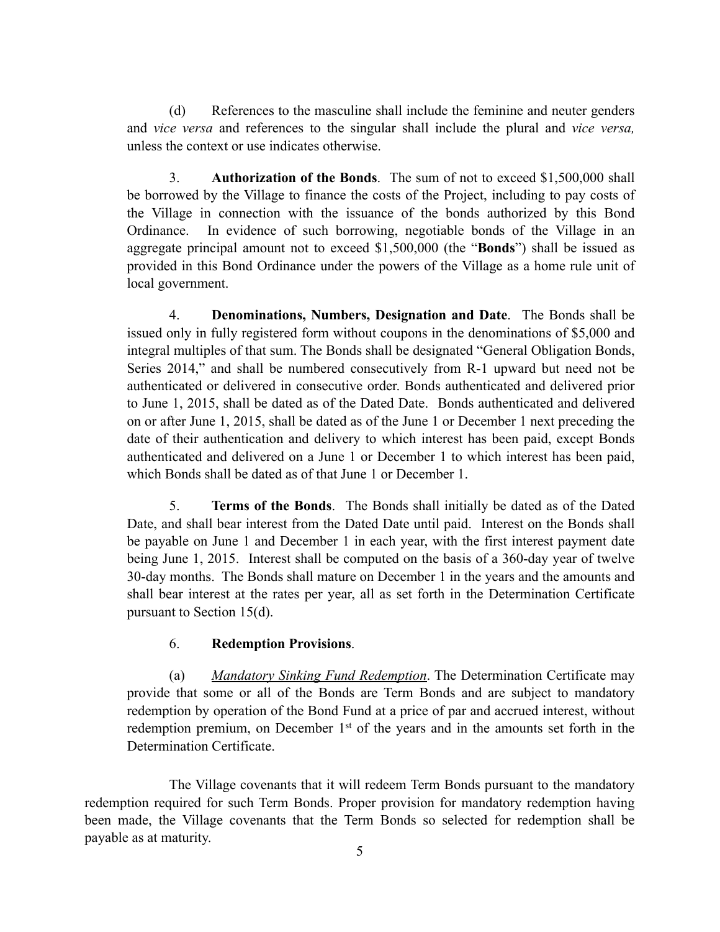(d) References to the masculine shall include the feminine and neuter genders and *vice versa* and references to the singular shall include the plural and *vice versa,* unless the context or use indicates otherwise.

3. **Authorization of the Bonds**. The sum of not to exceed \$1,500,000 shall be borrowed by the Village to finance the costs of the Project, including to pay costs of the Village in connection with the issuance of the bonds authorized by this Bond Ordinance. In evidence of such borrowing, negotiable bonds of the Village in an aggregate principal amount not to exceed \$1,500,000 (the "**Bonds**") shall be issued as provided in this Bond Ordinance under the powers of the Village as a home rule unit of local government.

4. **Denominations, Numbers, Designation and Date**. The Bonds shall be issued only in fully registered form without coupons in the denominations of \$5,000 and integral multiples of that sum. The Bonds shall be designated "General Obligation Bonds, Series 2014," and shall be numbered consecutively from R-1 upward but need not be authenticated or delivered in consecutive order. Bonds authenticated and delivered prior to June 1, 2015, shall be dated as of the Dated Date. Bonds authenticated and delivered on or after June 1, 2015, shall be dated as of the June 1 or December 1 next preceding the date of their authentication and delivery to which interest has been paid, except Bonds authenticated and delivered on a June 1 or December 1 to which interest has been paid, which Bonds shall be dated as of that June 1 or December 1.

5. **Terms of the Bonds**. The Bonds shall initially be dated as of the Dated Date, and shall bear interest from the Dated Date until paid. Interest on the Bonds shall be payable on June 1 and December 1 in each year, with the first interest payment date being June 1, 2015. Interest shall be computed on the basis of a 360-day year of twelve 30-day months. The Bonds shall mature on December 1 in the years and the amounts and shall bear interest at the rates per year, all as set forth in the Determination Certificate pursuant to Section 15(d).

### 6. **Redemption Provisions**.

(a) *Mandatory Sinking Fund Redemption*. The Determination Certificate may provide that some or all of the Bonds are Term Bonds and are subject to mandatory redemption by operation of the Bond Fund at a price of par and accrued interest, without redemption premium, on December 1<sup>st</sup> of the years and in the amounts set forth in the Determination Certificate.

The Village covenants that it will redeem Term Bonds pursuant to the mandatory redemption required for such Term Bonds. Proper provision for mandatory redemption having been made, the Village covenants that the Term Bonds so selected for redemption shall be payable as at maturity.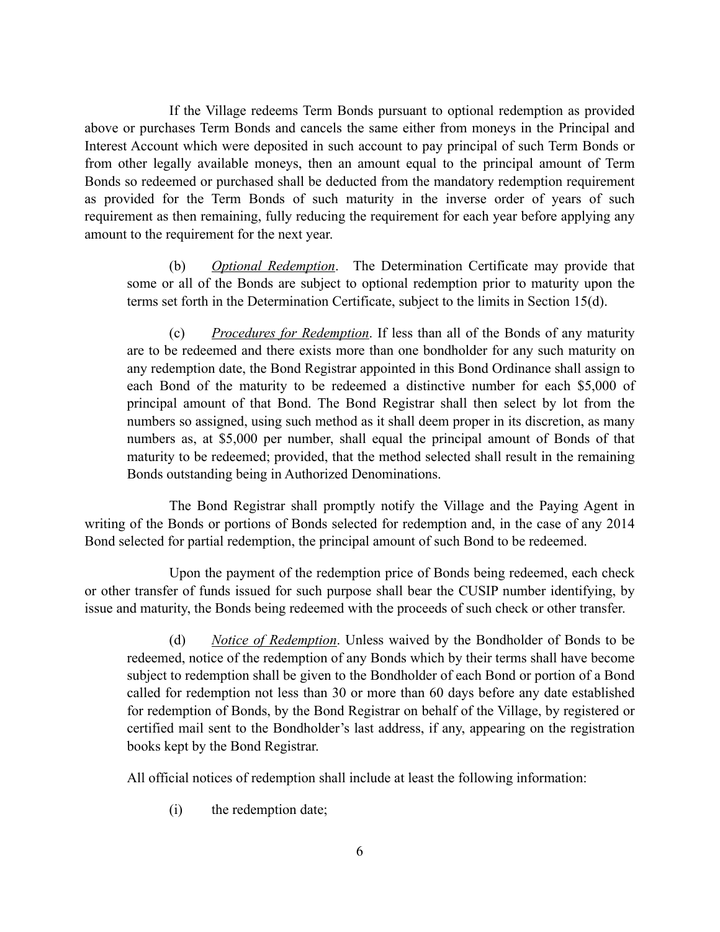If the Village redeems Term Bonds pursuant to optional redemption as provided above or purchases Term Bonds and cancels the same either from moneys in the Principal and Interest Account which were deposited in such account to pay principal of such Term Bonds or from other legally available moneys, then an amount equal to the principal amount of Term Bonds so redeemed or purchased shall be deducted from the mandatory redemption requirement as provided for the Term Bonds of such maturity in the inverse order of years of such requirement as then remaining, fully reducing the requirement for each year before applying any amount to the requirement for the next year.

(b) *Optional Redemption*. The Determination Certificate may provide that some or all of the Bonds are subject to optional redemption prior to maturity upon the terms set forth in the Determination Certificate, subject to the limits in Section 15(d).

(c) *Procedures for Redemption*. If less than all of the Bonds of any maturity are to be redeemed and there exists more than one bondholder for any such maturity on any redemption date, the Bond Registrar appointed in this Bond Ordinance shall assign to each Bond of the maturity to be redeemed a distinctive number for each \$5,000 of principal amount of that Bond. The Bond Registrar shall then select by lot from the numbers so assigned, using such method as it shall deem proper in its discretion, as many numbers as, at \$5,000 per number, shall equal the principal amount of Bonds of that maturity to be redeemed; provided, that the method selected shall result in the remaining Bonds outstanding being in Authorized Denominations.

The Bond Registrar shall promptly notify the Village and the Paying Agent in writing of the Bonds or portions of Bonds selected for redemption and, in the case of any 2014 Bond selected for partial redemption, the principal amount of such Bond to be redeemed.

Upon the payment of the redemption price of Bonds being redeemed, each check or other transfer of funds issued for such purpose shall bear the CUSIP number identifying, by issue and maturity, the Bonds being redeemed with the proceeds of such check or other transfer.

(d) *Notice of Redemption*. Unless waived by the Bondholder of Bonds to be redeemed, notice of the redemption of any Bonds which by their terms shall have become subject to redemption shall be given to the Bondholder of each Bond or portion of a Bond called for redemption not less than 30 or more than 60 days before any date established for redemption of Bonds, by the Bond Registrar on behalf of the Village, by registered or certified mail sent to the Bondholder's last address, if any, appearing on the registration books kept by the Bond Registrar.

All official notices of redemption shall include at least the following information:

(i) the redemption date;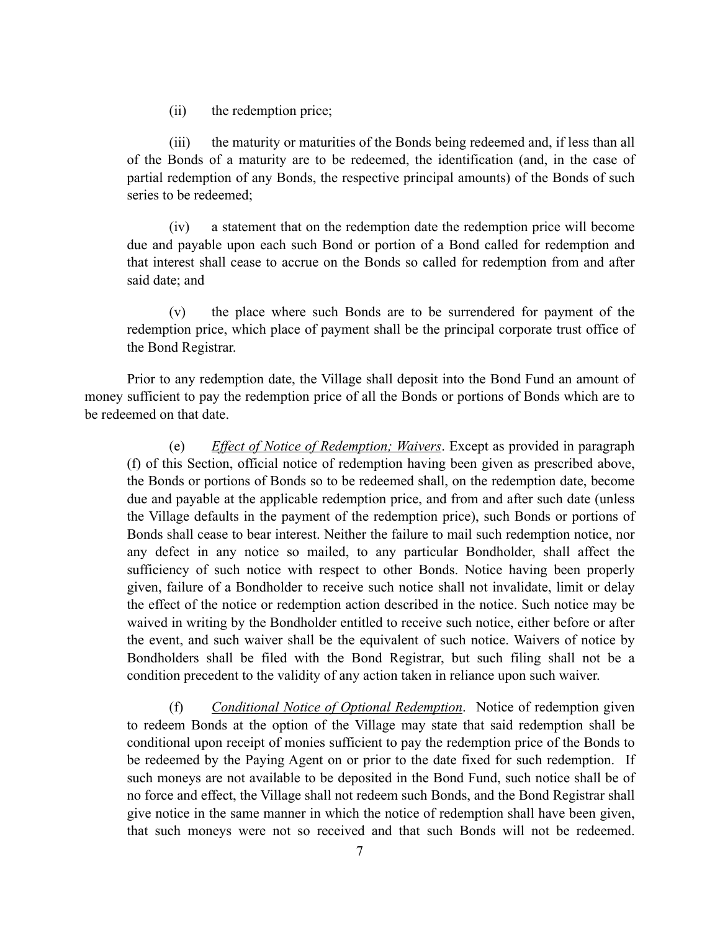(ii) the redemption price;

(iii) the maturity or maturities of the Bonds being redeemed and, if less than all of the Bonds of a maturity are to be redeemed, the identification (and, in the case of partial redemption of any Bonds, the respective principal amounts) of the Bonds of such series to be redeemed;

(iv) a statement that on the redemption date the redemption price will become due and payable upon each such Bond or portion of a Bond called for redemption and that interest shall cease to accrue on the Bonds so called for redemption from and after said date; and

(v) the place where such Bonds are to be surrendered for payment of the redemption price, which place of payment shall be the principal corporate trust office of the Bond Registrar.

Prior to any redemption date, the Village shall deposit into the Bond Fund an amount of money sufficient to pay the redemption price of all the Bonds or portions of Bonds which are to be redeemed on that date.

(e) *Effect of Notice of Redemption; Waivers*. Except as provided in paragraph (f) of this Section, official notice of redemption having been given as prescribed above, the Bonds or portions of Bonds so to be redeemed shall, on the redemption date, become due and payable at the applicable redemption price, and from and after such date (unless the Village defaults in the payment of the redemption price), such Bonds or portions of Bonds shall cease to bear interest. Neither the failure to mail such redemption notice, nor any defect in any notice so mailed, to any particular Bondholder, shall affect the sufficiency of such notice with respect to other Bonds. Notice having been properly given, failure of a Bondholder to receive such notice shall not invalidate, limit or delay the effect of the notice or redemption action described in the notice. Such notice may be waived in writing by the Bondholder entitled to receive such notice, either before or after the event, and such waiver shall be the equivalent of such notice. Waivers of notice by Bondholders shall be filed with the Bond Registrar, but such filing shall not be a condition precedent to the validity of any action taken in reliance upon such waiver.

(f) *Conditional Notice of Optional Redemption*. Notice of redemption given to redeem Bonds at the option of the Village may state that said redemption shall be conditional upon receipt of monies sufficient to pay the redemption price of the Bonds to be redeemed by the Paying Agent on or prior to the date fixed for such redemption. If such moneys are not available to be deposited in the Bond Fund, such notice shall be of no force and effect, the Village shall not redeem such Bonds, and the Bond Registrar shall give notice in the same manner in which the notice of redemption shall have been given, that such moneys were not so received and that such Bonds will not be redeemed.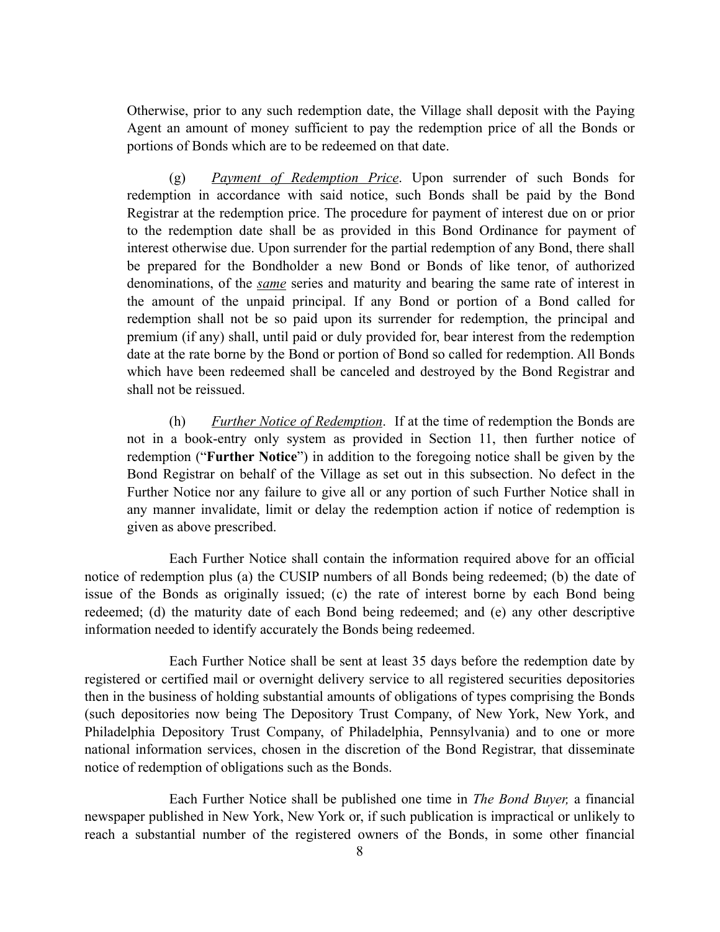Otherwise, prior to any such redemption date, the Village shall deposit with the Paying Agent an amount of money sufficient to pay the redemption price of all the Bonds or portions of Bonds which are to be redeemed on that date.

(g) *Payment of Redemption Price*. Upon surrender of such Bonds for redemption in accordance with said notice, such Bonds shall be paid by the Bond Registrar at the redemption price. The procedure for payment of interest due on or prior to the redemption date shall be as provided in this Bond Ordinance for payment of interest otherwise due. Upon surrender for the partial redemption of any Bond, there shall be prepared for the Bondholder a new Bond or Bonds of like tenor, of authorized denominations, of the *same* series and maturity and bearing the same rate of interest in the amount of the unpaid principal. If any Bond or portion of a Bond called for redemption shall not be so paid upon its surrender for redemption, the principal and premium (if any) shall, until paid or duly provided for, bear interest from the redemption date at the rate borne by the Bond or portion of Bond so called for redemption. All Bonds which have been redeemed shall be canceled and destroyed by the Bond Registrar and shall not be reissued.

(h) *Further Notice of Redemption*. If at the time of redemption the Bonds are not in a book-entry only system as provided in Section 11, then further notice of redemption ("**Further Notice**") in addition to the foregoing notice shall be given by the Bond Registrar on behalf of the Village as set out in this subsection. No defect in the Further Notice nor any failure to give all or any portion of such Further Notice shall in any manner invalidate, limit or delay the redemption action if notice of redemption is given as above prescribed.

Each Further Notice shall contain the information required above for an official notice of redemption plus (a) the CUSIP numbers of all Bonds being redeemed; (b) the date of issue of the Bonds as originally issued; (c) the rate of interest borne by each Bond being redeemed; (d) the maturity date of each Bond being redeemed; and (e) any other descriptive information needed to identify accurately the Bonds being redeemed.

Each Further Notice shall be sent at least 35 days before the redemption date by registered or certified mail or overnight delivery service to all registered securities depositories then in the business of holding substantial amounts of obligations of types comprising the Bonds (such depositories now being The Depository Trust Company, of New York, New York, and Philadelphia Depository Trust Company, of Philadelphia, Pennsylvania) and to one or more national information services, chosen in the discretion of the Bond Registrar, that disseminate notice of redemption of obligations such as the Bonds.

Each Further Notice shall be published one time in *The Bond Buyer,* a financial newspaper published in New York, New York or, if such publication is impractical or unlikely to reach a substantial number of the registered owners of the Bonds, in some other financial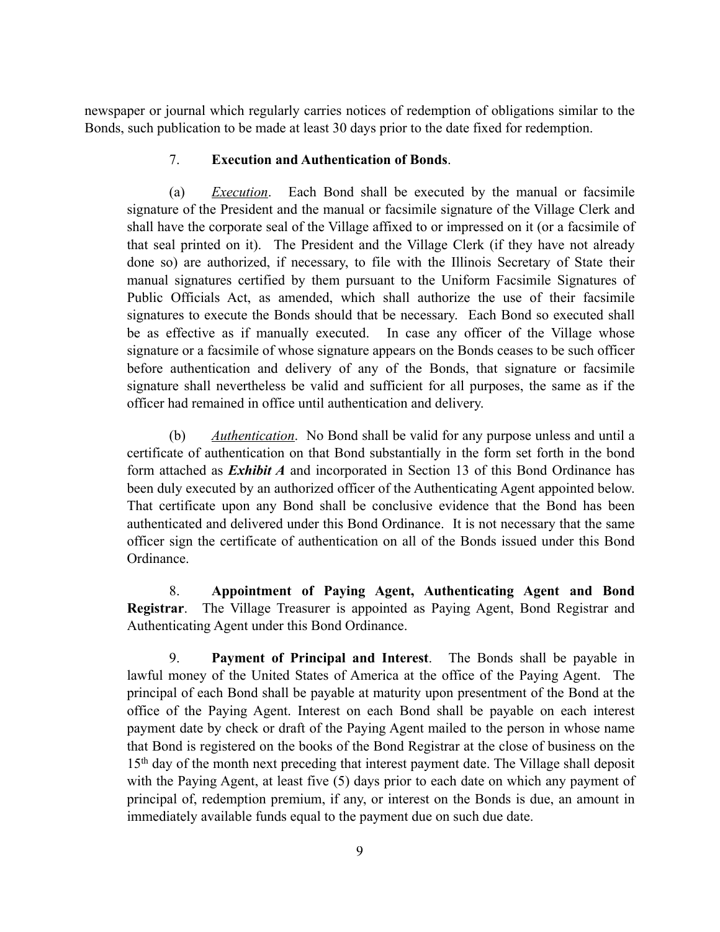newspaper or journal which regularly carries notices of redemption of obligations similar to the Bonds, such publication to be made at least 30 days prior to the date fixed for redemption.

### 7. **Execution and Authentication of Bonds**.

(a) *Execution*. Each Bond shall be executed by the manual or facsimile signature of the President and the manual or facsimile signature of the Village Clerk and shall have the corporate seal of the Village affixed to or impressed on it (or a facsimile of that seal printed on it). The President and the Village Clerk (if they have not already done so) are authorized, if necessary, to file with the Illinois Secretary of State their manual signatures certified by them pursuant to the Uniform Facsimile Signatures of Public Officials Act, as amended, which shall authorize the use of their facsimile signatures to execute the Bonds should that be necessary. Each Bond so executed shall be as effective as if manually executed. In case any officer of the Village whose signature or a facsimile of whose signature appears on the Bonds ceases to be such officer before authentication and delivery of any of the Bonds, that signature or facsimile signature shall nevertheless be valid and sufficient for all purposes, the same as if the officer had remained in office until authentication and delivery.

(b) *Authentication*. No Bond shall be valid for any purpose unless and until a certificate of authentication on that Bond substantially in the form set forth in the bond form attached as *Exhibit A* and incorporated in Section 13 of this Bond Ordinance has been duly executed by an authorized officer of the Authenticating Agent appointed below. That certificate upon any Bond shall be conclusive evidence that the Bond has been authenticated and delivered under this Bond Ordinance. It is not necessary that the same officer sign the certificate of authentication on all of the Bonds issued under this Bond Ordinance.

8. **Appointment of Paying Agent, Authenticating Agent and Bond Registrar**. The Village Treasurer is appointed as Paying Agent, Bond Registrar and Authenticating Agent under this Bond Ordinance.

9. **Payment of Principal and Interest**. The Bonds shall be payable in lawful money of the United States of America at the office of the Paying Agent. The principal of each Bond shall be payable at maturity upon presentment of the Bond at the office of the Paying Agent. Interest on each Bond shall be payable on each interest payment date by check or draft of the Paying Agent mailed to the person in whose name that Bond is registered on the books of the Bond Registrar at the close of business on the 15th day of the month next preceding that interest payment date. The Village shall deposit with the Paying Agent, at least five (5) days prior to each date on which any payment of principal of, redemption premium, if any, or interest on the Bonds is due, an amount in immediately available funds equal to the payment due on such due date.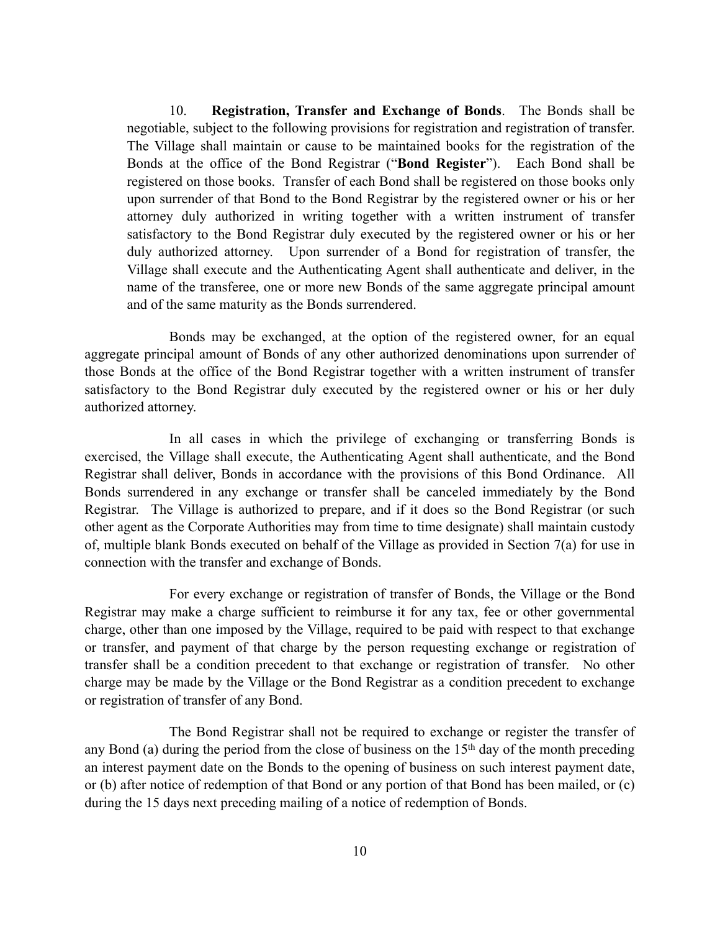10. **Registration, Transfer and Exchange of Bonds**. The Bonds shall be negotiable, subject to the following provisions for registration and registration of transfer. The Village shall maintain or cause to be maintained books for the registration of the Bonds at the office of the Bond Registrar ("**Bond Register**"). Each Bond shall be registered on those books. Transfer of each Bond shall be registered on those books only upon surrender of that Bond to the Bond Registrar by the registered owner or his or her attorney duly authorized in writing together with a written instrument of transfer satisfactory to the Bond Registrar duly executed by the registered owner or his or her duly authorized attorney. Upon surrender of a Bond for registration of transfer, the Village shall execute and the Authenticating Agent shall authenticate and deliver, in the name of the transferee, one or more new Bonds of the same aggregate principal amount and of the same maturity as the Bonds surrendered.

Bonds may be exchanged, at the option of the registered owner, for an equal aggregate principal amount of Bonds of any other authorized denominations upon surrender of those Bonds at the office of the Bond Registrar together with a written instrument of transfer satisfactory to the Bond Registrar duly executed by the registered owner or his or her duly authorized attorney.

In all cases in which the privilege of exchanging or transferring Bonds is exercised, the Village shall execute, the Authenticating Agent shall authenticate, and the Bond Registrar shall deliver, Bonds in accordance with the provisions of this Bond Ordinance. All Bonds surrendered in any exchange or transfer shall be canceled immediately by the Bond Registrar. The Village is authorized to prepare, and if it does so the Bond Registrar (or such other agent as the Corporate Authorities may from time to time designate) shall maintain custody of, multiple blank Bonds executed on behalf of the Village as provided in Section 7(a) for use in connection with the transfer and exchange of Bonds.

For every exchange or registration of transfer of Bonds, the Village or the Bond Registrar may make a charge sufficient to reimburse it for any tax, fee or other governmental charge, other than one imposed by the Village, required to be paid with respect to that exchange or transfer, and payment of that charge by the person requesting exchange or registration of transfer shall be a condition precedent to that exchange or registration of transfer. No other charge may be made by the Village or the Bond Registrar as a condition precedent to exchange or registration of transfer of any Bond.

The Bond Registrar shall not be required to exchange or register the transfer of any Bond (a) during the period from the close of business on the 15<sup>th</sup> day of the month preceding an interest payment date on the Bonds to the opening of business on such interest payment date, or (b) after notice of redemption of that Bond or any portion of that Bond has been mailed, or (c) during the 15 days next preceding mailing of a notice of redemption of Bonds.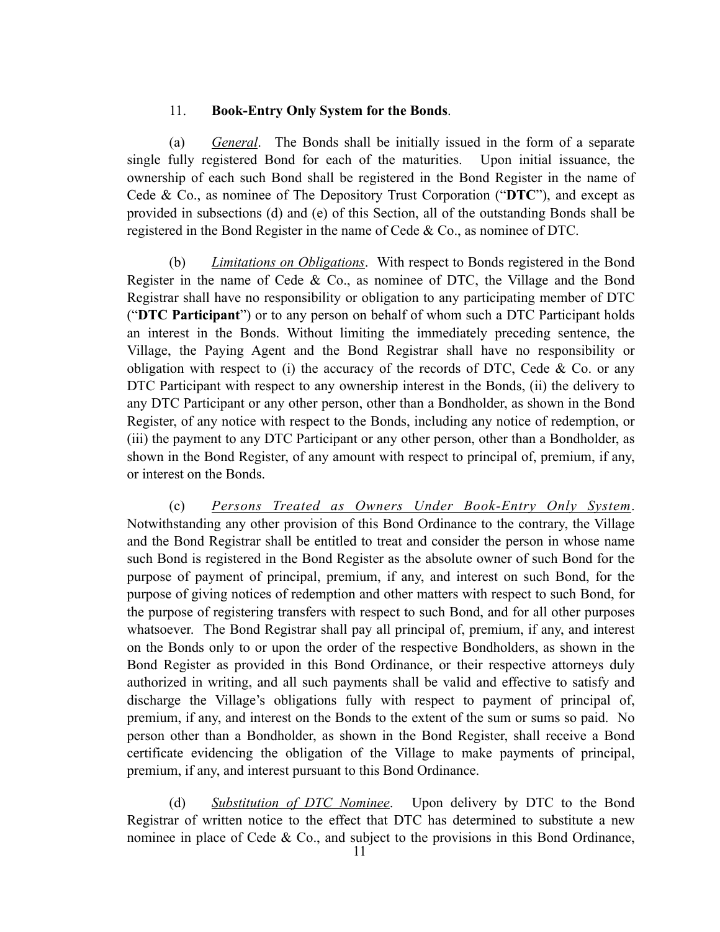#### 11. **Book-Entry Only System for the Bonds**.

(a) *General*. The Bonds shall be initially issued in the form of a separate single fully registered Bond for each of the maturities. Upon initial issuance, the ownership of each such Bond shall be registered in the Bond Register in the name of Cede & Co., as nominee of The Depository Trust Corporation ("**DTC**"), and except as provided in subsections (d) and (e) of this Section, all of the outstanding Bonds shall be registered in the Bond Register in the name of Cede & Co., as nominee of DTC.

(b) *Limitations on Obligations*. With respect to Bonds registered in the Bond Register in the name of Cede & Co., as nominee of DTC, the Village and the Bond Registrar shall have no responsibility or obligation to any participating member of DTC ("**DTC Participant**") or to any person on behalf of whom such a DTC Participant holds an interest in the Bonds. Without limiting the immediately preceding sentence, the Village, the Paying Agent and the Bond Registrar shall have no responsibility or obligation with respect to  $(i)$  the accuracy of the records of DTC, Cede & Co. or any DTC Participant with respect to any ownership interest in the Bonds, (ii) the delivery to any DTC Participant or any other person, other than a Bondholder, as shown in the Bond Register, of any notice with respect to the Bonds, including any notice of redemption, or (iii) the payment to any DTC Participant or any other person, other than a Bondholder, as shown in the Bond Register, of any amount with respect to principal of, premium, if any, or interest on the Bonds.

(c) *Persons Treated as Owners Under Book-Entry Only System*. Notwithstanding any other provision of this Bond Ordinance to the contrary, the Village and the Bond Registrar shall be entitled to treat and consider the person in whose name such Bond is registered in the Bond Register as the absolute owner of such Bond for the purpose of payment of principal, premium, if any, and interest on such Bond, for the purpose of giving notices of redemption and other matters with respect to such Bond, for the purpose of registering transfers with respect to such Bond, and for all other purposes whatsoever. The Bond Registrar shall pay all principal of, premium, if any, and interest on the Bonds only to or upon the order of the respective Bondholders, as shown in the Bond Register as provided in this Bond Ordinance, or their respective attorneys duly authorized in writing, and all such payments shall be valid and effective to satisfy and discharge the Village's obligations fully with respect to payment of principal of, premium, if any, and interest on the Bonds to the extent of the sum or sums so paid. No person other than a Bondholder, as shown in the Bond Register, shall receive a Bond certificate evidencing the obligation of the Village to make payments of principal, premium, if any, and interest pursuant to this Bond Ordinance.

(d) *Substitution of DTC Nominee*. Upon delivery by DTC to the Bond Registrar of written notice to the effect that DTC has determined to substitute a new nominee in place of Cede  $\&$  Co., and subject to the provisions in this Bond Ordinance,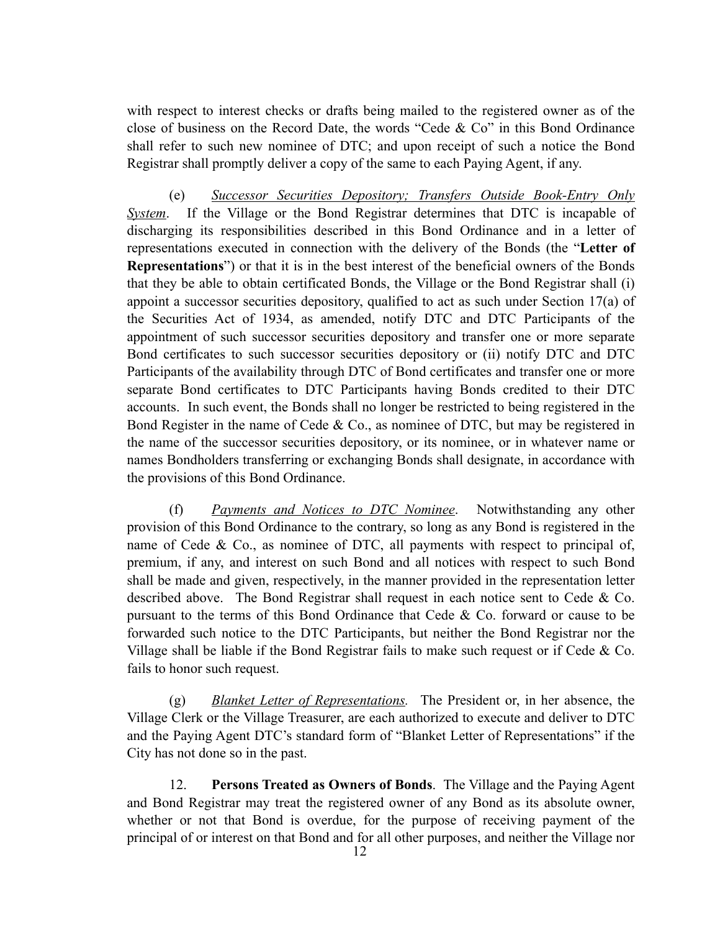with respect to interest checks or drafts being mailed to the registered owner as of the close of business on the Record Date, the words "Cede & Co" in this Bond Ordinance shall refer to such new nominee of DTC; and upon receipt of such a notice the Bond Registrar shall promptly deliver a copy of the same to each Paying Agent, if any.

(e) *Successor Securities Depository; Transfers Outside Book-Entry Only System*. If the Village or the Bond Registrar determines that DTC is incapable of discharging its responsibilities described in this Bond Ordinance and in a letter of representations executed in connection with the delivery of the Bonds (the "**Letter of Representations**") or that it is in the best interest of the beneficial owners of the Bonds that they be able to obtain certificated Bonds, the Village or the Bond Registrar shall (i) appoint a successor securities depository, qualified to act as such under Section 17(a) of the Securities Act of 1934, as amended, notify DTC and DTC Participants of the appointment of such successor securities depository and transfer one or more separate Bond certificates to such successor securities depository or (ii) notify DTC and DTC Participants of the availability through DTC of Bond certificates and transfer one or more separate Bond certificates to DTC Participants having Bonds credited to their DTC accounts. In such event, the Bonds shall no longer be restricted to being registered in the Bond Register in the name of Cede & Co., as nominee of DTC, but may be registered in the name of the successor securities depository, or its nominee, or in whatever name or names Bondholders transferring or exchanging Bonds shall designate, in accordance with the provisions of this Bond Ordinance.

(f) *Payments and Notices to DTC Nominee*. Notwithstanding any other provision of this Bond Ordinance to the contrary, so long as any Bond is registered in the name of Cede  $\&$  Co., as nominee of DTC, all payments with respect to principal of, premium, if any, and interest on such Bond and all notices with respect to such Bond shall be made and given, respectively, in the manner provided in the representation letter described above. The Bond Registrar shall request in each notice sent to Cede & Co. pursuant to the terms of this Bond Ordinance that Cede  $\&$  Co. forward or cause to be forwarded such notice to the DTC Participants, but neither the Bond Registrar nor the Village shall be liable if the Bond Registrar fails to make such request or if Cede & Co. fails to honor such request.

(g) *Blanket Letter of Representations.* The President or, in her absence, the Village Clerk or the Village Treasurer, are each authorized to execute and deliver to DTC and the Paying Agent DTC's standard form of "Blanket Letter of Representations" if the City has not done so in the past.

12. **Persons Treated as Owners of Bonds**. The Village and the Paying Agent and Bond Registrar may treat the registered owner of any Bond as its absolute owner, whether or not that Bond is overdue, for the purpose of receiving payment of the principal of or interest on that Bond and for all other purposes, and neither the Village nor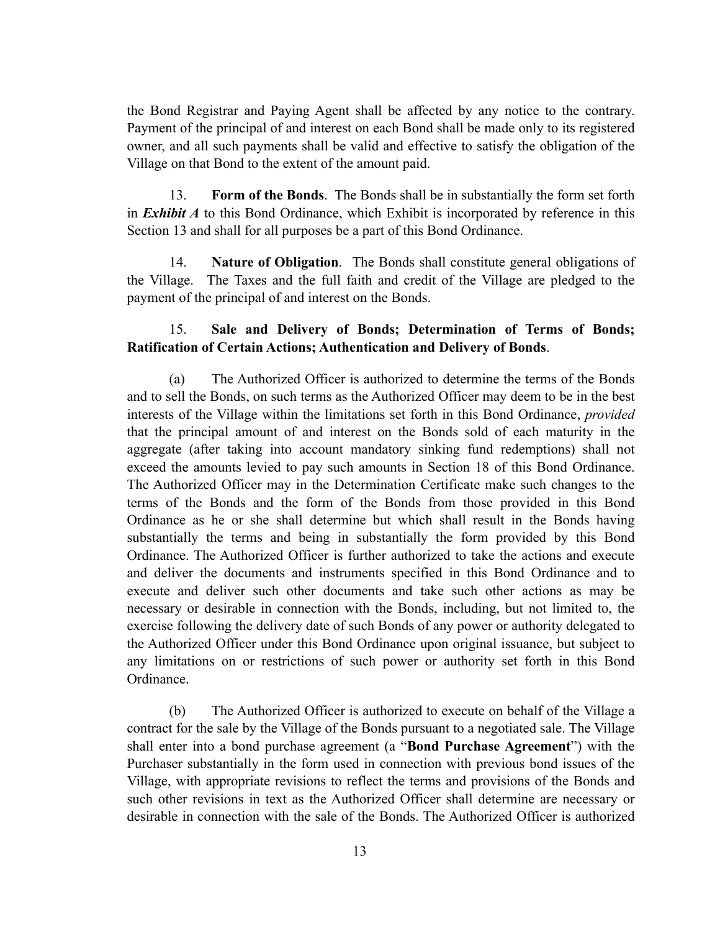the Bond Registrar and Paying Agent shall be affected by any notice to the contrary. Payment of the principal of and interest on each Bond shall be made only to its registered owner, and all such payments shall be valid and effective to satisfy the obligation of the Village on that Bond to the extent of the amount paid.

13. **Form of the Bonds**. The Bonds shall be in substantially the form set forth in *Exhibit A* to this Bond Ordinance, which Exhibit is incorporated by reference in this Section 13 and shall for all purposes be a part of this Bond Ordinance.

14. **Nature of Obligation**.The Bonds shall constitute general obligations of the Village. The Taxes and the full faith and credit of the Village are pledged to the payment of the principal of and interest on the Bonds.

### 15. **Sale and Delivery of Bonds; Determination of Terms of Bonds; Ratification of Certain Actions; Authentication and Delivery of Bonds**.

(a) The Authorized Officer is authorized to determine the terms of the Bonds and to sell the Bonds, on such terms as the Authorized Officer may deem to be in the best interests of the Village within the limitations set forth in this Bond Ordinance, *provided* that the principal amount of and interest on the Bonds sold of each maturity in the aggregate (after taking into account mandatory sinking fund redemptions) shall not exceed the amounts levied to pay such amounts in Section 18 of this Bond Ordinance. The Authorized Officer may in the Determination Certificate make such changes to the terms of the Bonds and the form of the Bonds from those provided in this Bond Ordinance as he or she shall determine but which shall result in the Bonds having substantially the terms and being in substantially the form provided by this Bond Ordinance. The Authorized Officer is further authorized to take the actions and execute and deliver the documents and instruments specified in this Bond Ordinance and to execute and deliver such other documents and take such other actions as may be necessary or desirable in connection with the Bonds, including, but not limited to, the exercise following the delivery date of such Bonds of any power or authority delegated to the Authorized Officer under this Bond Ordinance upon original issuance, but subject to any limitations on or restrictions of such power or authority set forth in this Bond Ordinance.

(b) The Authorized Officer is authorized to execute on behalf of the Village a contract for the sale by the Village of the Bonds pursuant to a negotiated sale. The Village shall enter into a bond purchase agreement (a "**Bond Purchase Agreement**") with the Purchaser substantially in the form used in connection with previous bond issues of the Village, with appropriate revisions to reflect the terms and provisions of the Bonds and such other revisions in text as the Authorized Officer shall determine are necessary or desirable in connection with the sale of the Bonds. The Authorized Officer is authorized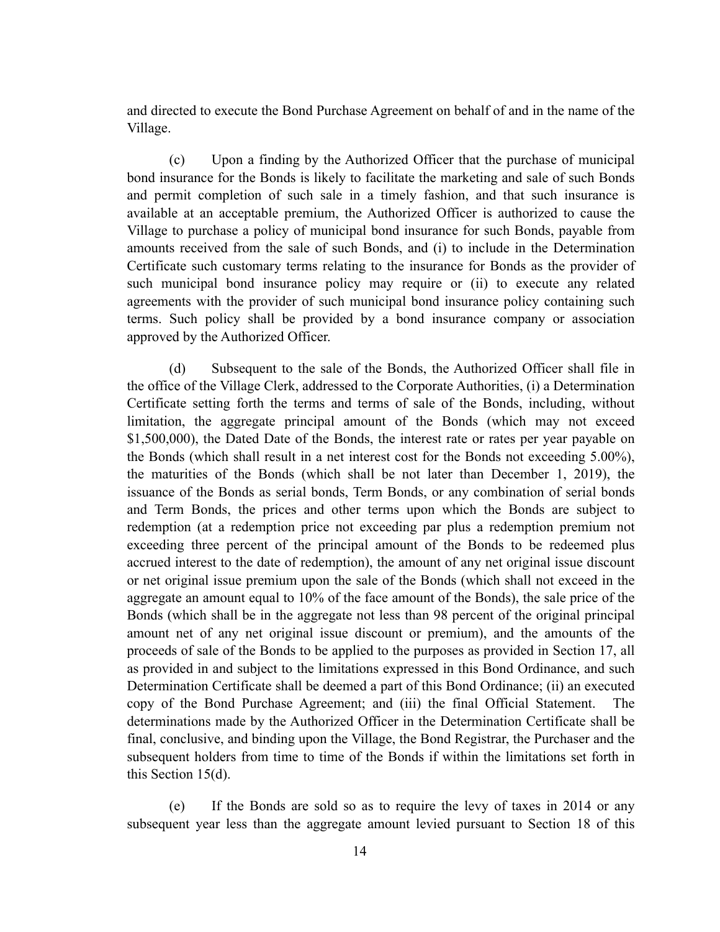and directed to execute the Bond Purchase Agreement on behalf of and in the name of the Village.

(c) Upon a finding by the Authorized Officer that the purchase of municipal bond insurance for the Bonds is likely to facilitate the marketing and sale of such Bonds and permit completion of such sale in a timely fashion, and that such insurance is available at an acceptable premium, the Authorized Officer is authorized to cause the Village to purchase a policy of municipal bond insurance for such Bonds, payable from amounts received from the sale of such Bonds, and (i) to include in the Determination Certificate such customary terms relating to the insurance for Bonds as the provider of such municipal bond insurance policy may require or (ii) to execute any related agreements with the provider of such municipal bond insurance policy containing such terms. Such policy shall be provided by a bond insurance company or association approved by the Authorized Officer.

(d) Subsequent to the sale of the Bonds, the Authorized Officer shall file in the office of the Village Clerk, addressed to the Corporate Authorities, (i) a Determination Certificate setting forth the terms and terms of sale of the Bonds, including, without limitation, the aggregate principal amount of the Bonds (which may not exceed \$1,500,000), the Dated Date of the Bonds, the interest rate or rates per year payable on the Bonds (which shall result in a net interest cost for the Bonds not exceeding 5.00%), the maturities of the Bonds (which shall be not later than December 1, 2019), the issuance of the Bonds as serial bonds, Term Bonds, or any combination of serial bonds and Term Bonds, the prices and other terms upon which the Bonds are subject to redemption (at a redemption price not exceeding par plus a redemption premium not exceeding three percent of the principal amount of the Bonds to be redeemed plus accrued interest to the date of redemption), the amount of any net original issue discount or net original issue premium upon the sale of the Bonds (which shall not exceed in the aggregate an amount equal to 10% of the face amount of the Bonds), the sale price of the Bonds (which shall be in the aggregate not less than 98 percent of the original principal amount net of any net original issue discount or premium), and the amounts of the proceeds of sale of the Bonds to be applied to the purposes as provided in Section 17, all as provided in and subject to the limitations expressed in this Bond Ordinance, and such Determination Certificate shall be deemed a part of this Bond Ordinance; (ii) an executed copy of the Bond Purchase Agreement; and (iii) the final Official Statement. The determinations made by the Authorized Officer in the Determination Certificate shall be final, conclusive, and binding upon the Village, the Bond Registrar, the Purchaser and the subsequent holders from time to time of the Bonds if within the limitations set forth in this Section 15(d).

(e) If the Bonds are sold so as to require the levy of taxes in 2014 or any subsequent year less than the aggregate amount levied pursuant to Section 18 of this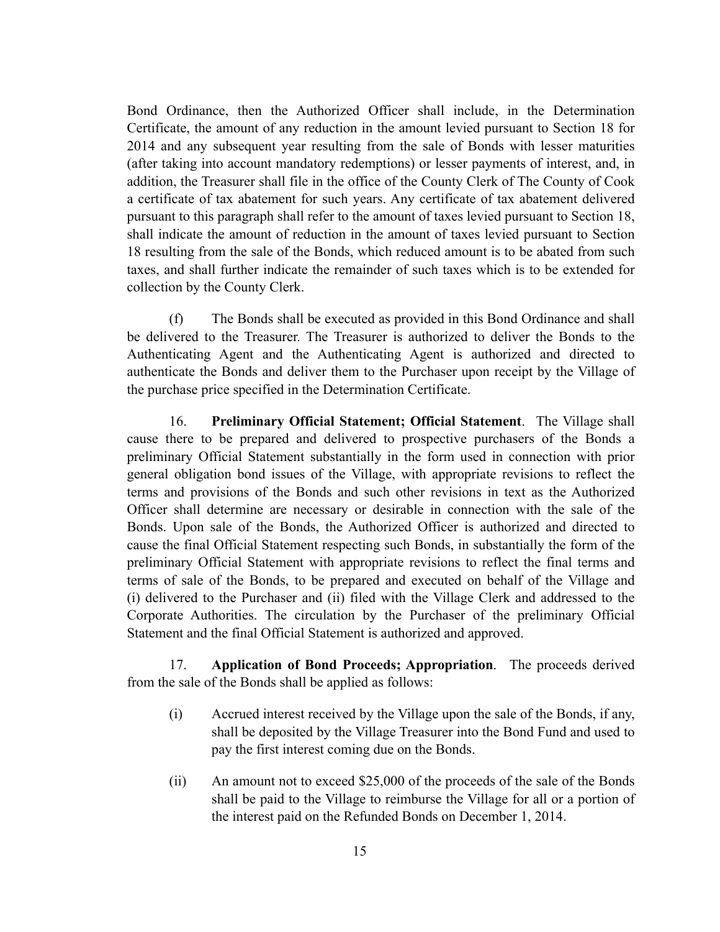Bond Ordinance, then the Authorized Officer shall include, in the Determination Certificate, the amount of any reduction in the amount levied pursuant to Section 18 for 2014 and any subsequent year resulting from the sale of Bonds with lesser maturities (after taking into account mandatory redemptions) or lesser payments of interest, and, in addition, the Treasurer shall file in the office of the County Clerk of The County of Cook a certificate of tax abatement for such years. Any certificate of tax abatement delivered pursuant to this paragraph shall refer to the amount of taxes levied pursuant to Section 18, shall indicate the amount of reduction in the amount of taxes levied pursuant to Section 18 resulting from the sale of the Bonds, which reduced amount is to be abated from such taxes, and shall further indicate the remainder of such taxes which is to be extended for collection by the County Clerk.

(f) The Bonds shall be executed as provided in this Bond Ordinance and shall be delivered to the Treasurer. The Treasurer is authorized to deliver the Bonds to the Authenticating Agent and the Authenticating Agent is authorized and directed to authenticate the Bonds and deliver them to the Purchaser upon receipt by the Village of the purchase price specified in the Determination Certificate.

16. **Preliminary Official Statement; Official Statement**. The Village shall cause there to be prepared and delivered to prospective purchasers of the Bonds a preliminary Official Statement substantially in the form used in connection with prior general obligation bond issues of the Village, with appropriate revisions to reflect the terms and provisions of the Bonds and such other revisions in text as the Authorized Officer shall determine are necessary or desirable in connection with the sale of the Bonds. Upon sale of the Bonds, the Authorized Officer is authorized and directed to cause the final Official Statement respecting such Bonds, in substantially the form of the preliminary Official Statement with appropriate revisions to reflect the final terms and terms of sale of the Bonds, to be prepared and executed on behalf of the Village and (i) delivered to the Purchaser and (ii) filed with the Village Clerk and addressed to the Corporate Authorities. The circulation by the Purchaser of the preliminary Official Statement and the final Official Statement is authorized and approved.

17. **Application of Bond Proceeds; Appropriation**. The proceeds derived from the sale of the Bonds shall be applied as follows:

- (i) Accrued interest received by the Village upon the sale of the Bonds, if any, shall be deposited by the Village Treasurer into the Bond Fund and used to pay the first interest coming due on the Bonds.
- (ii) An amount not to exceed \$25,000 of the proceeds of the sale of the Bonds shall be paid to the Village to reimburse the Village for all or a portion of the interest paid on the Refunded Bonds on December 1, 2014.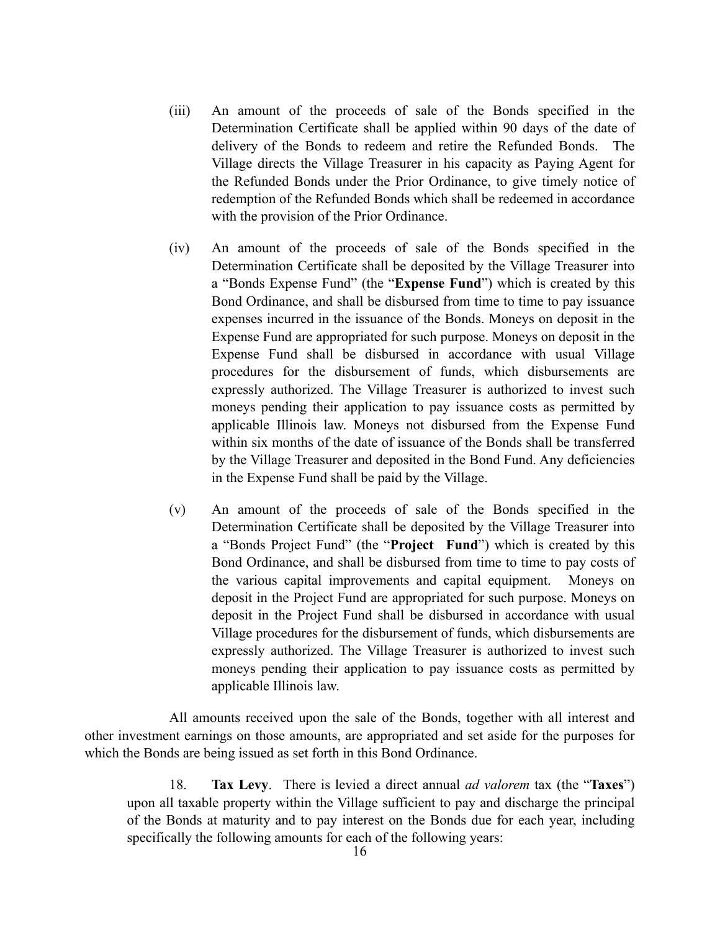- (iii) An amount of the proceeds of sale of the Bonds specified in the Determination Certificate shall be applied within 90 days of the date of delivery of the Bonds to redeem and retire the Refunded Bonds. The Village directs the Village Treasurer in his capacity as Paying Agent for the Refunded Bonds under the Prior Ordinance, to give timely notice of redemption of the Refunded Bonds which shall be redeemed in accordance with the provision of the Prior Ordinance.
- (iv) An amount of the proceeds of sale of the Bonds specified in the Determination Certificate shall be deposited by the Village Treasurer into a "Bonds Expense Fund" (the "**Expense Fund**") which is created by this Bond Ordinance, and shall be disbursed from time to time to pay issuance expenses incurred in the issuance of the Bonds. Moneys on deposit in the Expense Fund are appropriated for such purpose. Moneys on deposit in the Expense Fund shall be disbursed in accordance with usual Village procedures for the disbursement of funds, which disbursements are expressly authorized. The Village Treasurer is authorized to invest such moneys pending their application to pay issuance costs as permitted by applicable Illinois law. Moneys not disbursed from the Expense Fund within six months of the date of issuance of the Bonds shall be transferred by the Village Treasurer and deposited in the Bond Fund. Any deficiencies in the Expense Fund shall be paid by the Village.
- (v) An amount of the proceeds of sale of the Bonds specified in the Determination Certificate shall be deposited by the Village Treasurer into a "Bonds Project Fund" (the "**Project Fund**") which is created by this Bond Ordinance, and shall be disbursed from time to time to pay costs of the various capital improvements and capital equipment. Moneys on deposit in the Project Fund are appropriated for such purpose. Moneys on deposit in the Project Fund shall be disbursed in accordance with usual Village procedures for the disbursement of funds, which disbursements are expressly authorized. The Village Treasurer is authorized to invest such moneys pending their application to pay issuance costs as permitted by applicable Illinois law.

All amounts received upon the sale of the Bonds, together with all interest and other investment earnings on those amounts, are appropriated and set aside for the purposes for which the Bonds are being issued as set forth in this Bond Ordinance.

18. **Tax Levy**. There is levied a direct annual *ad valorem* tax (the "**Taxes**") upon all taxable property within the Village sufficient to pay and discharge the principal of the Bonds at maturity and to pay interest on the Bonds due for each year, including specifically the following amounts for each of the following years: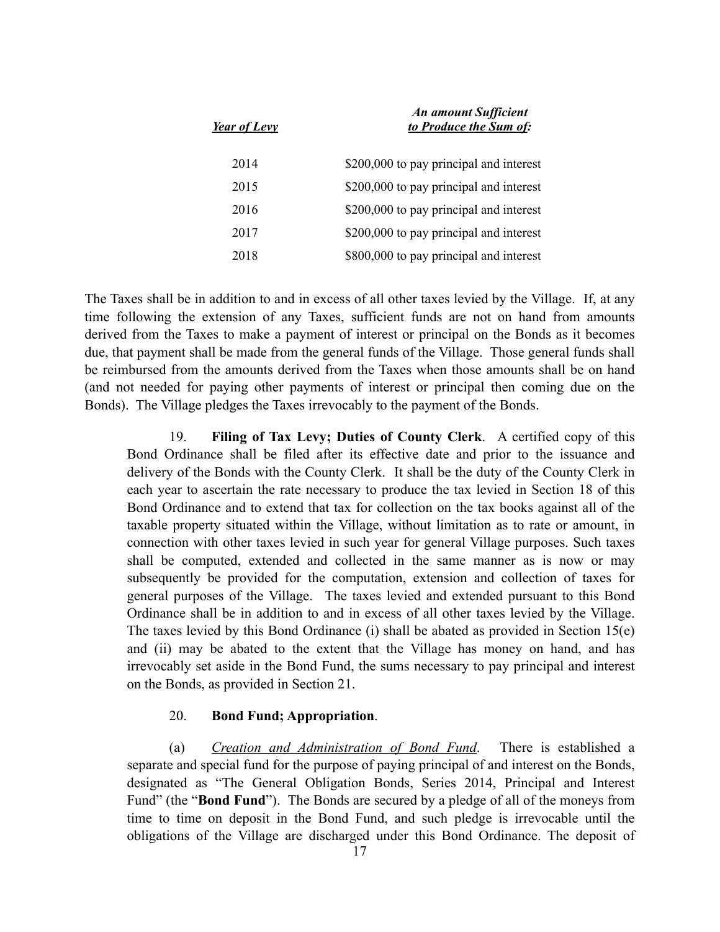| <b>Year of Levy</b> | <b>An amount Sufficient</b><br>to Produce the Sum of: |
|---------------------|-------------------------------------------------------|
| 2014                | \$200,000 to pay principal and interest               |
| 2015                | \$200,000 to pay principal and interest               |
| 2016                | \$200,000 to pay principal and interest               |
| 2017                | \$200,000 to pay principal and interest               |
| 2018                | \$800,000 to pay principal and interest               |

The Taxes shall be in addition to and in excess of all other taxes levied by the Village. If, at any time following the extension of any Taxes, sufficient funds are not on hand from amounts derived from the Taxes to make a payment of interest or principal on the Bonds as it becomes due, that payment shall be made from the general funds of the Village. Those general funds shall be reimbursed from the amounts derived from the Taxes when those amounts shall be on hand (and not needed for paying other payments of interest or principal then coming due on the Bonds). The Village pledges the Taxes irrevocably to the payment of the Bonds.

19. **Filing of Tax Levy; Duties of County Clerk**. A certified copy of this Bond Ordinance shall be filed after its effective date and prior to the issuance and delivery of the Bonds with the County Clerk. It shall be the duty of the County Clerk in each year to ascertain the rate necessary to produce the tax levied in Section 18 of this Bond Ordinance and to extend that tax for collection on the tax books against all of the taxable property situated within the Village, without limitation as to rate or amount, in connection with other taxes levied in such year for general Village purposes. Such taxes shall be computed, extended and collected in the same manner as is now or may subsequently be provided for the computation, extension and collection of taxes for general purposes of the Village. The taxes levied and extended pursuant to this Bond Ordinance shall be in addition to and in excess of all other taxes levied by the Village. The taxes levied by this Bond Ordinance (i) shall be abated as provided in Section 15(e) and (ii) may be abated to the extent that the Village has money on hand, and has irrevocably set aside in the Bond Fund, the sums necessary to pay principal and interest on the Bonds, as provided in Section 21.

### 20. **Bond Fund; Appropriation**.

(a) *Creation and Administration of Bond Fund*. There is established a separate and special fund for the purpose of paying principal of and interest on the Bonds, designated as "The General Obligation Bonds, Series 2014, Principal and Interest Fund" (the "**Bond Fund**"). The Bonds are secured by a pledge of all of the moneys from time to time on deposit in the Bond Fund, and such pledge is irrevocable until the obligations of the Village are discharged under this Bond Ordinance. The deposit of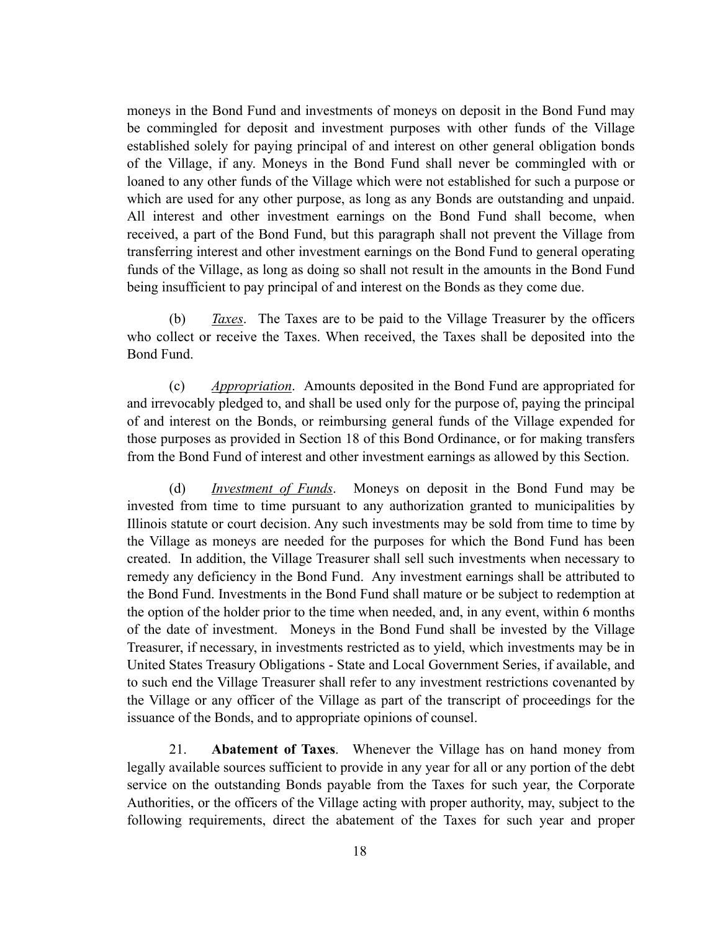moneys in the Bond Fund and investments of moneys on deposit in the Bond Fund may be commingled for deposit and investment purposes with other funds of the Village established solely for paying principal of and interest on other general obligation bonds of the Village, if any. Moneys in the Bond Fund shall never be commingled with or loaned to any other funds of the Village which were not established for such a purpose or which are used for any other purpose, as long as any Bonds are outstanding and unpaid. All interest and other investment earnings on the Bond Fund shall become, when received, a part of the Bond Fund, but this paragraph shall not prevent the Village from transferring interest and other investment earnings on the Bond Fund to general operating funds of the Village, as long as doing so shall not result in the amounts in the Bond Fund being insufficient to pay principal of and interest on the Bonds as they come due.

(b) *Taxes*. The Taxes are to be paid to the Village Treasurer by the officers who collect or receive the Taxes. When received, the Taxes shall be deposited into the Bond Fund.

(c) *Appropriation*.Amounts deposited in the Bond Fund are appropriated for and irrevocably pledged to, and shall be used only for the purpose of, paying the principal of and interest on the Bonds, or reimbursing general funds of the Village expended for those purposes as provided in Section 18 of this Bond Ordinance, or for making transfers from the Bond Fund of interest and other investment earnings as allowed by this Section.

(d) *Investment of Funds*. Moneys on deposit in the Bond Fund may be invested from time to time pursuant to any authorization granted to municipalities by Illinois statute or court decision. Any such investments may be sold from time to time by the Village as moneys are needed for the purposes for which the Bond Fund has been created. In addition, the Village Treasurer shall sell such investments when necessary to remedy any deficiency in the Bond Fund. Any investment earnings shall be attributed to the Bond Fund. Investments in the Bond Fund shall mature or be subject to redemption at the option of the holder prior to the time when needed, and, in any event, within 6 months of the date of investment. Moneys in the Bond Fund shall be invested by the Village Treasurer, if necessary, in investments restricted as to yield, which investments may be in United States Treasury Obligations - State and Local Government Series, if available, and to such end the Village Treasurer shall refer to any investment restrictions covenanted by the Village or any officer of the Village as part of the transcript of proceedings for the issuance of the Bonds, and to appropriate opinions of counsel.

21. **Abatement of Taxes**. Whenever the Village has on hand money from legally available sources sufficient to provide in any year for all or any portion of the debt service on the outstanding Bonds payable from the Taxes for such year, the Corporate Authorities, or the officers of the Village acting with proper authority, may, subject to the following requirements, direct the abatement of the Taxes for such year and proper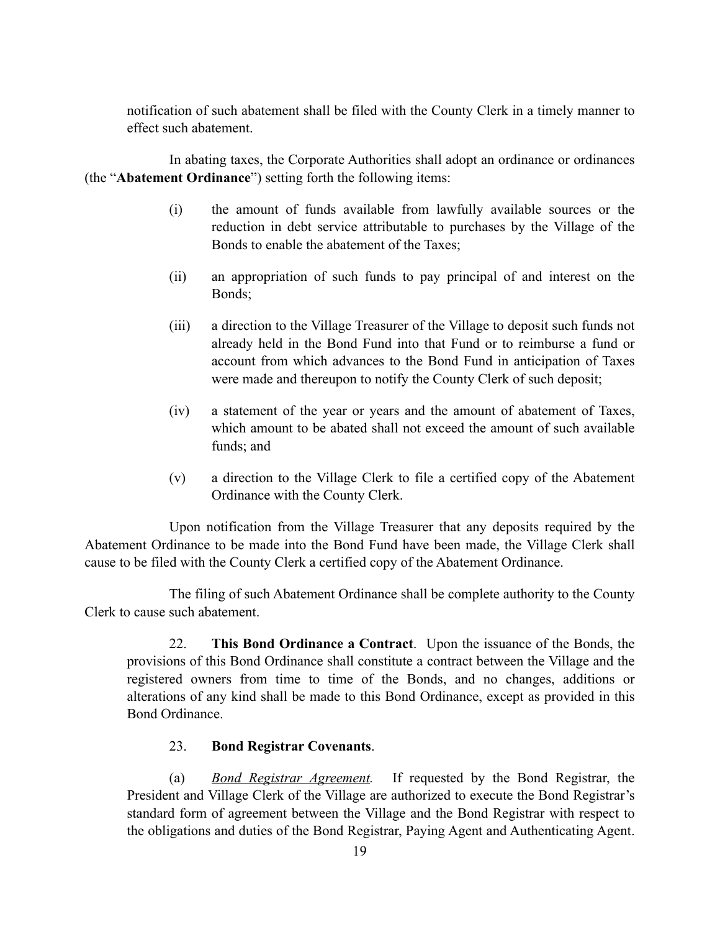notification of such abatement shall be filed with the County Clerk in a timely manner to effect such abatement.

In abating taxes, the Corporate Authorities shall adopt an ordinance or ordinances (the "**Abatement Ordinance**") setting forth the following items:

- (i) the amount of funds available from lawfully available sources or the reduction in debt service attributable to purchases by the Village of the Bonds to enable the abatement of the Taxes;
- (ii) an appropriation of such funds to pay principal of and interest on the Bonds;
- (iii) a direction to the Village Treasurer of the Village to deposit such funds not already held in the Bond Fund into that Fund or to reimburse a fund or account from which advances to the Bond Fund in anticipation of Taxes were made and thereupon to notify the County Clerk of such deposit;
- (iv) a statement of the year or years and the amount of abatement of Taxes, which amount to be abated shall not exceed the amount of such available funds; and
- (v) a direction to the Village Clerk to file a certified copy of the Abatement Ordinance with the County Clerk.

Upon notification from the Village Treasurer that any deposits required by the Abatement Ordinance to be made into the Bond Fund have been made, the Village Clerk shall cause to be filed with the County Clerk a certified copy of the Abatement Ordinance.

The filing of such Abatement Ordinance shall be complete authority to the County Clerk to cause such abatement.

22. **This Bond Ordinance a Contract**. Upon the issuance of the Bonds, the provisions of this Bond Ordinance shall constitute a contract between the Village and the registered owners from time to time of the Bonds, and no changes, additions or alterations of any kind shall be made to this Bond Ordinance, except as provided in this Bond Ordinance.

## 23. **Bond Registrar Covenants**.

(a) *Bond Registrar Agreement.* If requested by the Bond Registrar, the President and Village Clerk of the Village are authorized to execute the Bond Registrar's standard form of agreement between the Village and the Bond Registrar with respect to the obligations and duties of the Bond Registrar, Paying Agent and Authenticating Agent.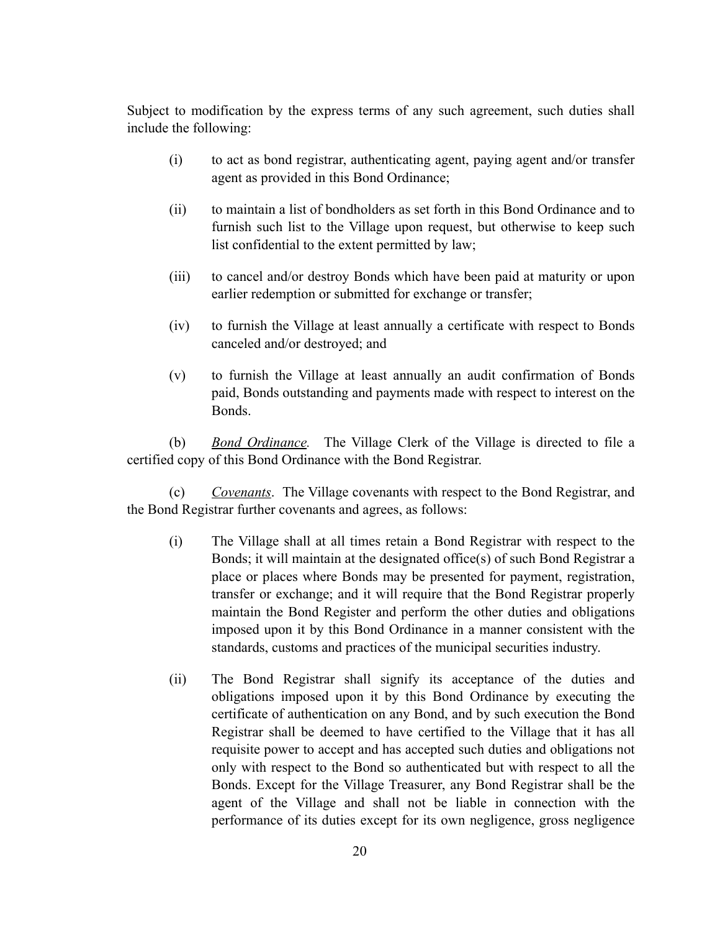Subject to modification by the express terms of any such agreement, such duties shall include the following:

- (i) to act as bond registrar, authenticating agent, paying agent and/or transfer agent as provided in this Bond Ordinance;
- (ii) to maintain a list of bondholders as set forth in this Bond Ordinance and to furnish such list to the Village upon request, but otherwise to keep such list confidential to the extent permitted by law;
- (iii) to cancel and/or destroy Bonds which have been paid at maturity or upon earlier redemption or submitted for exchange or transfer;
- (iv) to furnish the Village at least annually a certificate with respect to Bonds canceled and/or destroyed; and
- (v) to furnish the Village at least annually an audit confirmation of Bonds paid, Bonds outstanding and payments made with respect to interest on the Bonds.

(b) *Bond Ordinance.* The Village Clerk of the Village is directed to file a certified copy of this Bond Ordinance with the Bond Registrar.

(c) *Covenants*. The Village covenants with respect to the Bond Registrar, and the Bond Registrar further covenants and agrees, as follows:

- (i) The Village shall at all times retain a Bond Registrar with respect to the Bonds; it will maintain at the designated office(s) of such Bond Registrar a place or places where Bonds may be presented for payment, registration, transfer or exchange; and it will require that the Bond Registrar properly maintain the Bond Register and perform the other duties and obligations imposed upon it by this Bond Ordinance in a manner consistent with the standards, customs and practices of the municipal securities industry.
- (ii) The Bond Registrar shall signify its acceptance of the duties and obligations imposed upon it by this Bond Ordinance by executing the certificate of authentication on any Bond, and by such execution the Bond Registrar shall be deemed to have certified to the Village that it has all requisite power to accept and has accepted such duties and obligations not only with respect to the Bond so authenticated but with respect to all the Bonds. Except for the Village Treasurer, any Bond Registrar shall be the agent of the Village and shall not be liable in connection with the performance of its duties except for its own negligence, gross negligence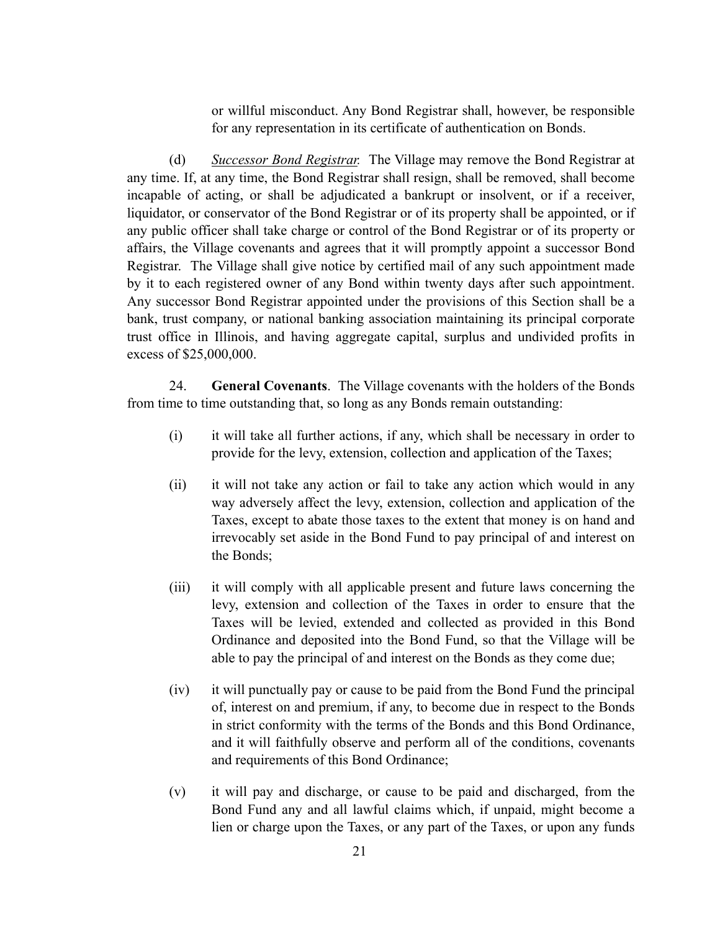or willful misconduct. Any Bond Registrar shall, however, be responsible for any representation in its certificate of authentication on Bonds.

(d) *Successor Bond Registrar.* The Village may remove the Bond Registrar at any time. If, at any time, the Bond Registrar shall resign, shall be removed, shall become incapable of acting, or shall be adjudicated a bankrupt or insolvent, or if a receiver, liquidator, or conservator of the Bond Registrar or of its property shall be appointed, or if any public officer shall take charge or control of the Bond Registrar or of its property or affairs, the Village covenants and agrees that it will promptly appoint a successor Bond Registrar. The Village shall give notice by certified mail of any such appointment made by it to each registered owner of any Bond within twenty days after such appointment. Any successor Bond Registrar appointed under the provisions of this Section shall be a bank, trust company, or national banking association maintaining its principal corporate trust office in Illinois, and having aggregate capital, surplus and undivided profits in excess of \$25,000,000.

24. **General Covenants**. The Village covenants with the holders of the Bonds from time to time outstanding that, so long as any Bonds remain outstanding:

- (i) it will take all further actions, if any, which shall be necessary in order to provide for the levy, extension, collection and application of the Taxes;
- (ii) it will not take any action or fail to take any action which would in any way adversely affect the levy, extension, collection and application of the Taxes, except to abate those taxes to the extent that money is on hand and irrevocably set aside in the Bond Fund to pay principal of and interest on the Bonds;
- (iii) it will comply with all applicable present and future laws concerning the levy, extension and collection of the Taxes in order to ensure that the Taxes will be levied, extended and collected as provided in this Bond Ordinance and deposited into the Bond Fund, so that the Village will be able to pay the principal of and interest on the Bonds as they come due;
- (iv) it will punctually pay or cause to be paid from the Bond Fund the principal of, interest on and premium, if any, to become due in respect to the Bonds in strict conformity with the terms of the Bonds and this Bond Ordinance, and it will faithfully observe and perform all of the conditions, covenants and requirements of this Bond Ordinance;
- (v) it will pay and discharge, or cause to be paid and discharged, from the Bond Fund any and all lawful claims which, if unpaid, might become a lien or charge upon the Taxes, or any part of the Taxes, or upon any funds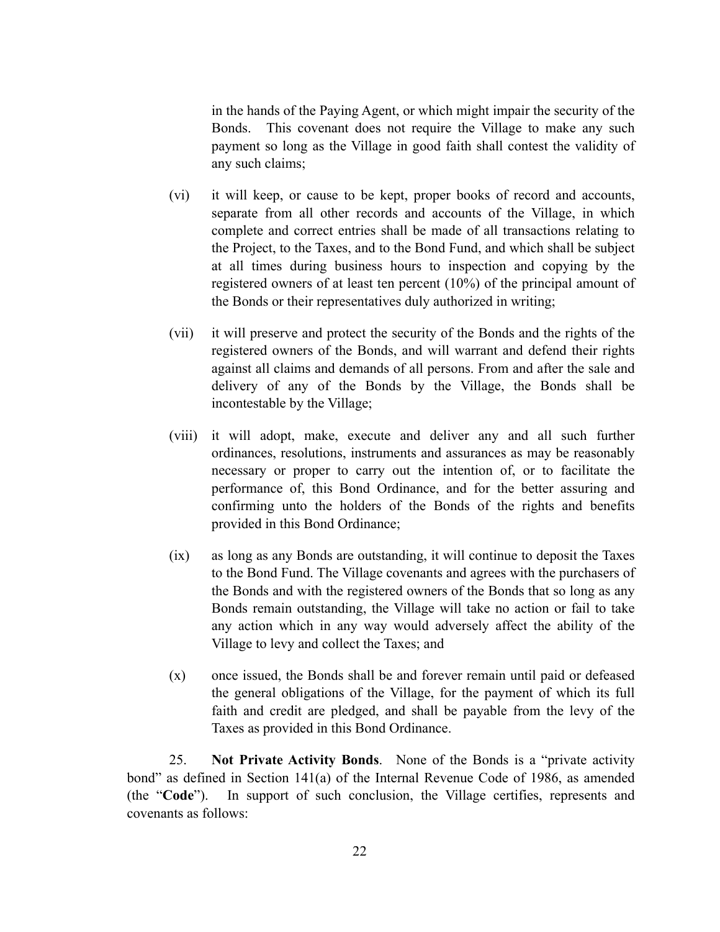in the hands of the Paying Agent, or which might impair the security of the Bonds. This covenant does not require the Village to make any such payment so long as the Village in good faith shall contest the validity of any such claims;

- (vi) it will keep, or cause to be kept, proper books of record and accounts, separate from all other records and accounts of the Village, in which complete and correct entries shall be made of all transactions relating to the Project, to the Taxes, and to the Bond Fund, and which shall be subject at all times during business hours to inspection and copying by the registered owners of at least ten percent (10%) of the principal amount of the Bonds or their representatives duly authorized in writing;
- (vii) it will preserve and protect the security of the Bonds and the rights of the registered owners of the Bonds, and will warrant and defend their rights against all claims and demands of all persons. From and after the sale and delivery of any of the Bonds by the Village, the Bonds shall be incontestable by the Village;
- (viii) it will adopt, make, execute and deliver any and all such further ordinances, resolutions, instruments and assurances as may be reasonably necessary or proper to carry out the intention of, or to facilitate the performance of, this Bond Ordinance, and for the better assuring and confirming unto the holders of the Bonds of the rights and benefits provided in this Bond Ordinance;
- (ix) as long as any Bonds are outstanding, it will continue to deposit the Taxes to the Bond Fund. The Village covenants and agrees with the purchasers of the Bonds and with the registered owners of the Bonds that so long as any Bonds remain outstanding, the Village will take no action or fail to take any action which in any way would adversely affect the ability of the Village to levy and collect the Taxes; and
- (x) once issued, the Bonds shall be and forever remain until paid or defeased the general obligations of the Village, for the payment of which its full faith and credit are pledged, and shall be payable from the levy of the Taxes as provided in this Bond Ordinance.

25. **Not Private Activity Bonds**. None of the Bonds is a "private activity bond" as defined in Section 141(a) of the Internal Revenue Code of 1986, as amended (the "**Code**"). In support of such conclusion, the Village certifies, represents and covenants as follows: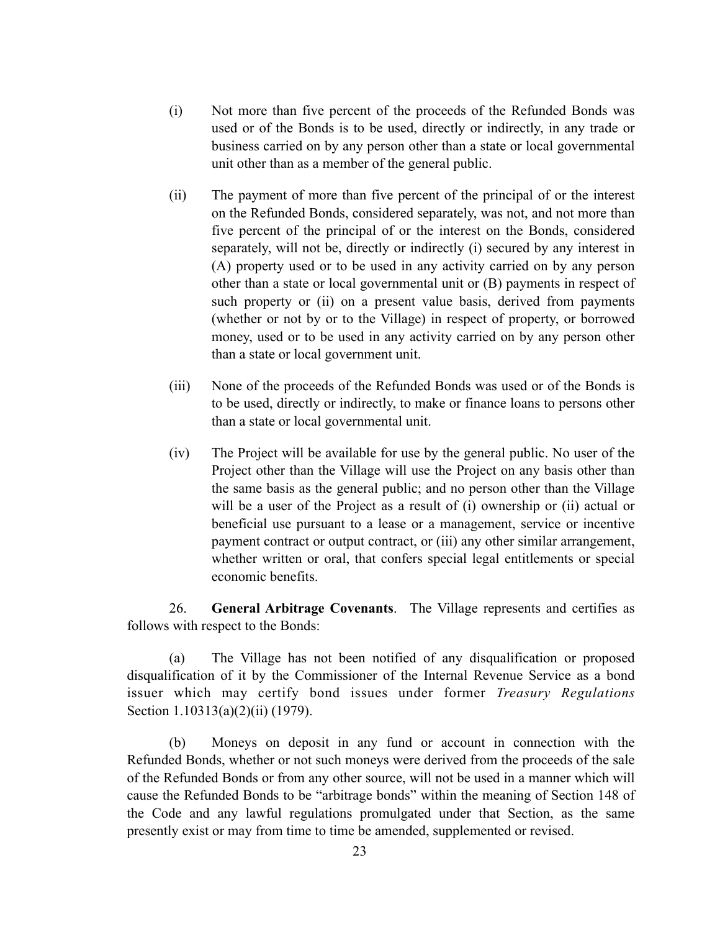- (i) Not more than five percent of the proceeds of the Refunded Bonds was used or of the Bonds is to be used, directly or indirectly, in any trade or business carried on by any person other than a state or local governmental unit other than as a member of the general public.
- (ii) The payment of more than five percent of the principal of or the interest on the Refunded Bonds, considered separately, was not, and not more than five percent of the principal of or the interest on the Bonds, considered separately, will not be, directly or indirectly (i) secured by any interest in (A) property used or to be used in any activity carried on by any person other than a state or local governmental unit or (B) payments in respect of such property or (ii) on a present value basis, derived from payments (whether or not by or to the Village) in respect of property, or borrowed money, used or to be used in any activity carried on by any person other than a state or local government unit.
- (iii) None of the proceeds of the Refunded Bonds was used or of the Bonds is to be used, directly or indirectly, to make or finance loans to persons other than a state or local governmental unit.
- (iv) The Project will be available for use by the general public. No user of the Project other than the Village will use the Project on any basis other than the same basis as the general public; and no person other than the Village will be a user of the Project as a result of (i) ownership or (ii) actual or beneficial use pursuant to a lease or a management, service or incentive payment contract or output contract, or (iii) any other similar arrangement, whether written or oral, that confers special legal entitlements or special economic benefits.

26. **General Arbitrage Covenants**. The Village represents and certifies as follows with respect to the Bonds:

(a) The Village has not been notified of any disqualification or proposed disqualification of it by the Commissioner of the Internal Revenue Service as a bond issuer which may certify bond issues under former *Treasury Regulations* Section 1.10313(a)(2)(ii) (1979).

(b) Moneys on deposit in any fund or account in connection with the Refunded Bonds, whether or not such moneys were derived from the proceeds of the sale of the Refunded Bonds or from any other source, will not be used in a manner which will cause the Refunded Bonds to be "arbitrage bonds" within the meaning of Section 148 of the Code and any lawful regulations promulgated under that Section, as the same presently exist or may from time to time be amended, supplemented or revised.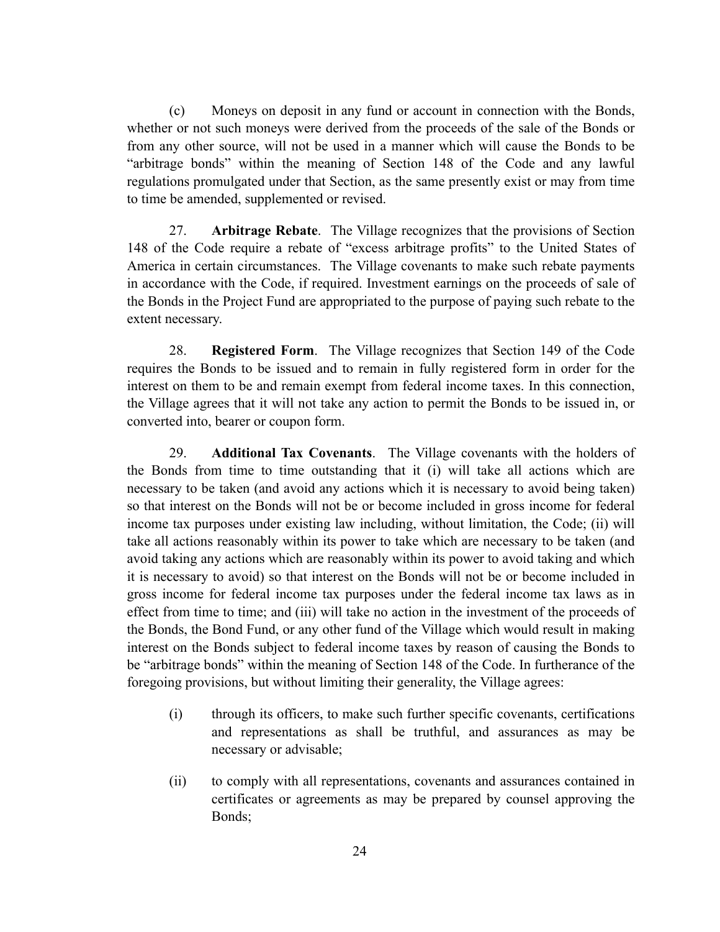(c) Moneys on deposit in any fund or account in connection with the Bonds, whether or not such moneys were derived from the proceeds of the sale of the Bonds or from any other source, will not be used in a manner which will cause the Bonds to be "arbitrage bonds" within the meaning of Section 148 of the Code and any lawful regulations promulgated under that Section, as the same presently exist or may from time to time be amended, supplemented or revised.

27. **Arbitrage Rebate**. The Village recognizes that the provisions of Section 148 of the Code require a rebate of "excess arbitrage profits" to the United States of America in certain circumstances. The Village covenants to make such rebate payments in accordance with the Code, if required. Investment earnings on the proceeds of sale of the Bonds in the Project Fund are appropriated to the purpose of paying such rebate to the extent necessary.

28. **Registered Form**. The Village recognizes that Section 149 of the Code requires the Bonds to be issued and to remain in fully registered form in order for the interest on them to be and remain exempt from federal income taxes. In this connection, the Village agrees that it will not take any action to permit the Bonds to be issued in, or converted into, bearer or coupon form.

29. **Additional Tax Covenants**. The Village covenants with the holders of the Bonds from time to time outstanding that it (i) will take all actions which are necessary to be taken (and avoid any actions which it is necessary to avoid being taken) so that interest on the Bonds will not be or become included in gross income for federal income tax purposes under existing law including, without limitation, the Code; (ii) will take all actions reasonably within its power to take which are necessary to be taken (and avoid taking any actions which are reasonably within its power to avoid taking and which it is necessary to avoid) so that interest on the Bonds will not be or become included in gross income for federal income tax purposes under the federal income tax laws as in effect from time to time; and (iii) will take no action in the investment of the proceeds of the Bonds, the Bond Fund, or any other fund of the Village which would result in making interest on the Bonds subject to federal income taxes by reason of causing the Bonds to be "arbitrage bonds" within the meaning of Section 148 of the Code. In furtherance of the foregoing provisions, but without limiting their generality, the Village agrees:

- (i) through its officers, to make such further specific covenants, certifications and representations as shall be truthful, and assurances as may be necessary or advisable;
- (ii) to comply with all representations, covenants and assurances contained in certificates or agreements as may be prepared by counsel approving the Bonds;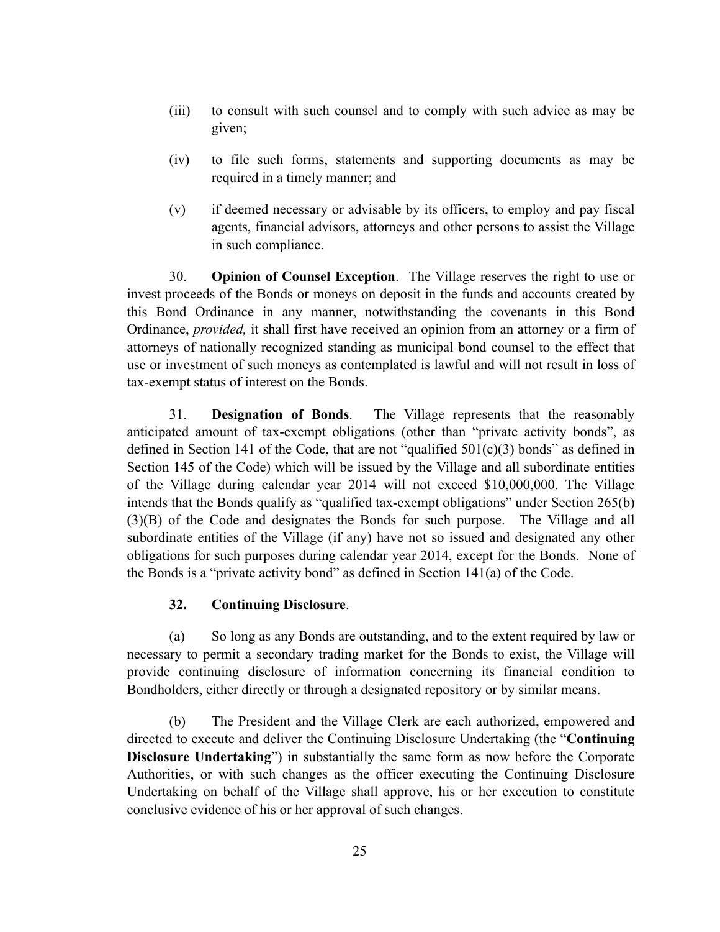- (iii) to consult with such counsel and to comply with such advice as may be given;
- (iv) to file such forms, statements and supporting documents as may be required in a timely manner; and
- (v) if deemed necessary or advisable by its officers, to employ and pay fiscal agents, financial advisors, attorneys and other persons to assist the Village in such compliance.

30. **Opinion of Counsel Exception**. The Village reserves the right to use or invest proceeds of the Bonds or moneys on deposit in the funds and accounts created by this Bond Ordinance in any manner, notwithstanding the covenants in this Bond Ordinance, *provided,* it shall first have received an opinion from an attorney or a firm of attorneys of nationally recognized standing as municipal bond counsel to the effect that use or investment of such moneys as contemplated is lawful and will not result in loss of tax-exempt status of interest on the Bonds.

31. **Designation of Bonds**. The Village represents that the reasonably anticipated amount of tax-exempt obligations (other than "private activity bonds", as defined in Section 141 of the Code, that are not "qualified  $501(c)(3)$  bonds" as defined in Section 145 of the Code) which will be issued by the Village and all subordinate entities of the Village during calendar year 2014 will not exceed \$10,000,000. The Village intends that the Bonds qualify as "qualified tax-exempt obligations" under Section 265(b) (3)(B) of the Code and designates the Bonds for such purpose. The Village and all subordinate entities of the Village (if any) have not so issued and designated any other obligations for such purposes during calendar year 2014, except for the Bonds. None of the Bonds is a "private activity bond" as defined in Section 141(a) of the Code.

### **32. Continuing Disclosure**.

(a) So long as any Bonds are outstanding, and to the extent required by law or necessary to permit a secondary trading market for the Bonds to exist, the Village will provide continuing disclosure of information concerning its financial condition to Bondholders, either directly or through a designated repository or by similar means.

(b) The President and the Village Clerk are each authorized, empowered and directed to execute and deliver the Continuing Disclosure Undertaking (the "**Continuing Disclosure Undertaking**") in substantially the same form as now before the Corporate Authorities, or with such changes as the officer executing the Continuing Disclosure Undertaking on behalf of the Village shall approve, his or her execution to constitute conclusive evidence of his or her approval of such changes.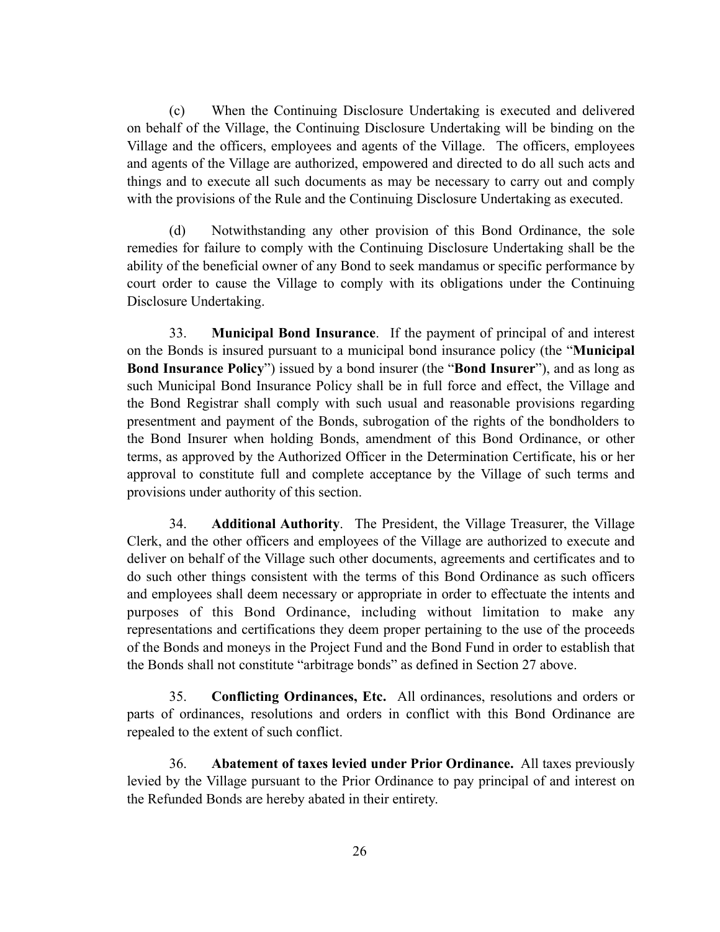(c) When the Continuing Disclosure Undertaking is executed and delivered on behalf of the Village, the Continuing Disclosure Undertaking will be binding on the Village and the officers, employees and agents of the Village. The officers, employees and agents of the Village are authorized, empowered and directed to do all such acts and things and to execute all such documents as may be necessary to carry out and comply with the provisions of the Rule and the Continuing Disclosure Undertaking as executed.

(d) Notwithstanding any other provision of this Bond Ordinance, the sole remedies for failure to comply with the Continuing Disclosure Undertaking shall be the ability of the beneficial owner of any Bond to seek mandamus or specific performance by court order to cause the Village to comply with its obligations under the Continuing Disclosure Undertaking.

33. **Municipal Bond Insurance**. If the payment of principal of and interest on the Bonds is insured pursuant to a municipal bond insurance policy (the "**Municipal Bond Insurance Policy**") issued by a bond insurer (the "**Bond Insurer**"), and as long as such Municipal Bond Insurance Policy shall be in full force and effect, the Village and the Bond Registrar shall comply with such usual and reasonable provisions regarding presentment and payment of the Bonds, subrogation of the rights of the bondholders to the Bond Insurer when holding Bonds, amendment of this Bond Ordinance, or other terms, as approved by the Authorized Officer in the Determination Certificate, his or her approval to constitute full and complete acceptance by the Village of such terms and provisions under authority of this section.

34. **Additional Authority**. The President, the Village Treasurer, the Village Clerk, and the other officers and employees of the Village are authorized to execute and deliver on behalf of the Village such other documents, agreements and certificates and to do such other things consistent with the terms of this Bond Ordinance as such officers and employees shall deem necessary or appropriate in order to effectuate the intents and purposes of this Bond Ordinance, including without limitation to make any representations and certifications they deem proper pertaining to the use of the proceeds of the Bonds and moneys in the Project Fund and the Bond Fund in order to establish that the Bonds shall not constitute "arbitrage bonds" as defined in Section 27 above.

35. **Conflicting Ordinances, Etc.** All ordinances, resolutions and orders or parts of ordinances, resolutions and orders in conflict with this Bond Ordinance are repealed to the extent of such conflict.

36. **Abatement of taxes levied under Prior Ordinance.** All taxes previously levied by the Village pursuant to the Prior Ordinance to pay principal of and interest on the Refunded Bonds are hereby abated in their entirety.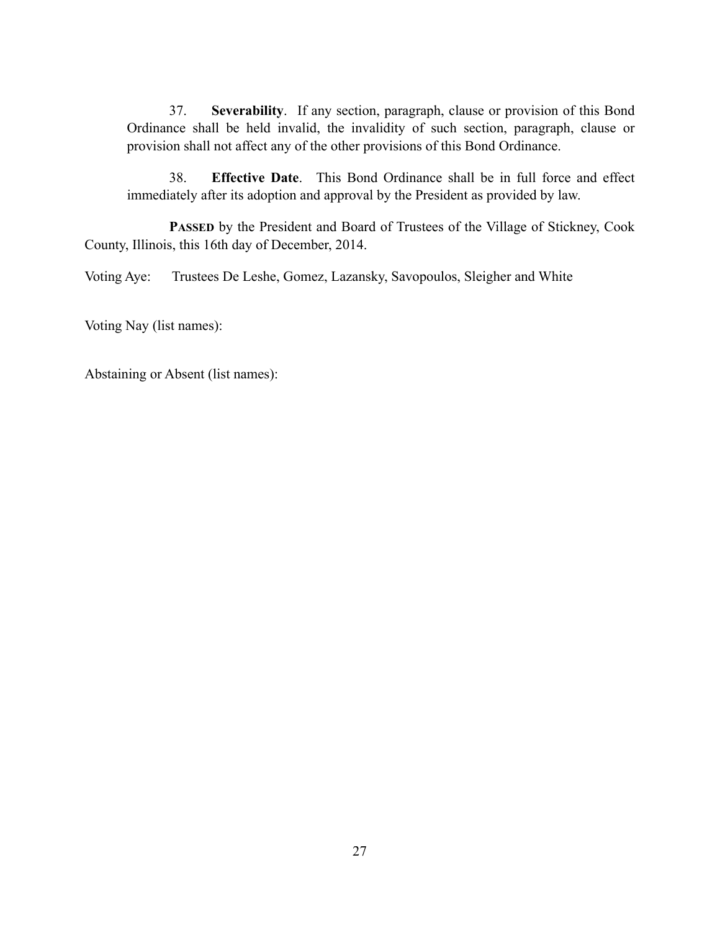37. **Severability**.If any section, paragraph, clause or provision of this Bond Ordinance shall be held invalid, the invalidity of such section, paragraph, clause or provision shall not affect any of the other provisions of this Bond Ordinance.

38. **Effective Date**. This Bond Ordinance shall be in full force and effect immediately after its adoption and approval by the President as provided by law.

PASSED by the President and Board of Trustees of the Village of Stickney, Cook County, Illinois, this 16th day of December, 2014.

Voting Aye: Trustees De Leshe, Gomez, Lazansky, Savopoulos, Sleigher and White

Voting Nay (list names):

Abstaining or Absent (list names):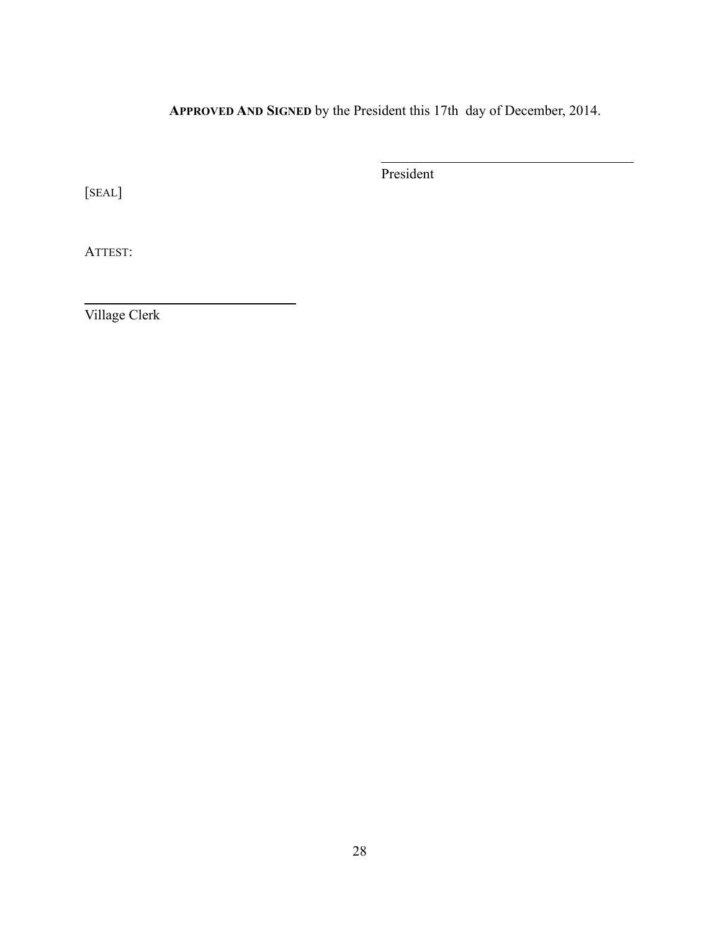**APPROVED AND SIGNED** by the President this 17th day of December, 2014.

 $\overline{a}$ 

President

[SEAL]

ATTEST:

 $\overline{a}$ 

Village Clerk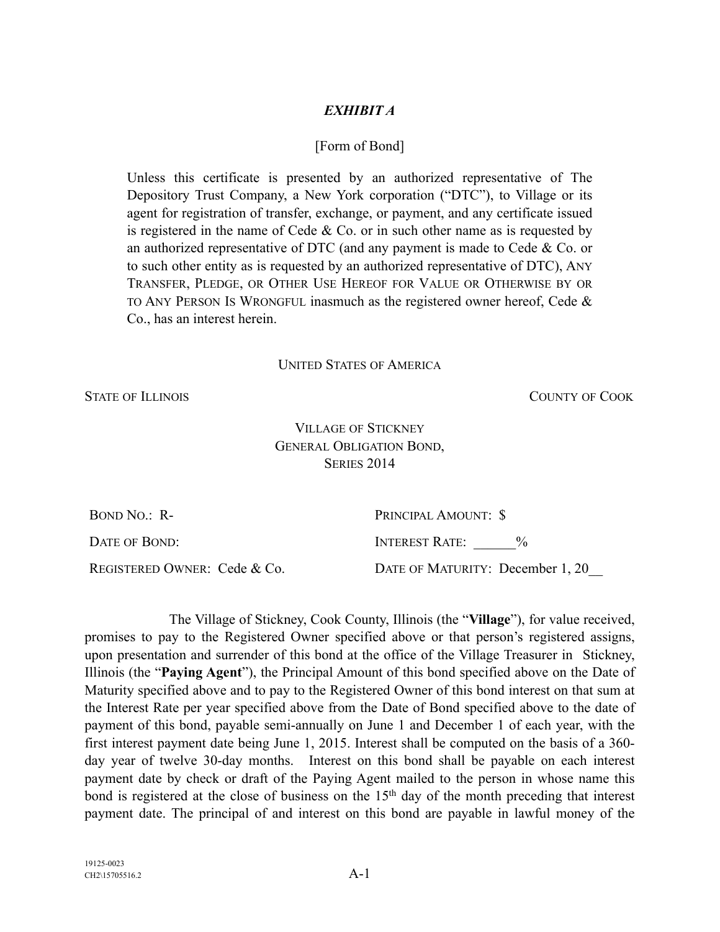19125-0023

# *EXHIBIT A*

# [Form of Bond]

Unless this certificate is presented by an authorized representative of The Depository Trust Company, a New York corporation ("DTC"), to Village or its agent for registration of transfer, exchange, or payment, and any certificate issued is registered in the name of Cede  $&$  Co. or in such other name as is requested by an authorized representative of DTC (and any payment is made to Cede  $\&$  Co. or to such other entity as is requested by an authorized representative of DTC), ANY TRANSFER, PLEDGE, OR OTHER USE HEREOF FOR VALUE OR OTHERWISE BY OR TO ANY PERSON IS WRONGFUL inasmuch as the registered owner hereof, Cede  $\&$ Co., has an interest herein.

### UNITED STATES OF AMERICA

STATE OF ILLINOIS COUNTY OF COOK

## VILLAGE OF STICKNEY GENERAL OBLIGATION BOND, SERIES 2014

| BOND NO.: R-                 | PRINCIPAL AMOUNT: \$             |
|------------------------------|----------------------------------|
| DATE OF BOND:                | INTEREST RATE:                   |
| REGISTERED OWNER: Cede & Co. | DATE OF MATURITY: December 1, 20 |

The Village of Stickney, Cook County, Illinois (the "**Village**"), for value received, promises to pay to the Registered Owner specified above or that person's registered assigns, upon presentation and surrender of this bond at the office of the Village Treasurer in Stickney, Illinois (the "**Paying Agent**"), the Principal Amount of this bond specified above on the Date of Maturity specified above and to pay to the Registered Owner of this bond interest on that sum at the Interest Rate per year specified above from the Date of Bond specified above to the date of payment of this bond, payable semi-annually on June 1 and December 1 of each year, with the first interest payment date being June 1, 2015. Interest shall be computed on the basis of a 360 day year of twelve 30-day months. Interest on this bond shall be payable on each interest payment date by check or draft of the Paying Agent mailed to the person in whose name this bond is registered at the close of business on the 15<sup>th</sup> day of the month preceding that interest payment date. The principal of and interest on this bond are payable in lawful money of the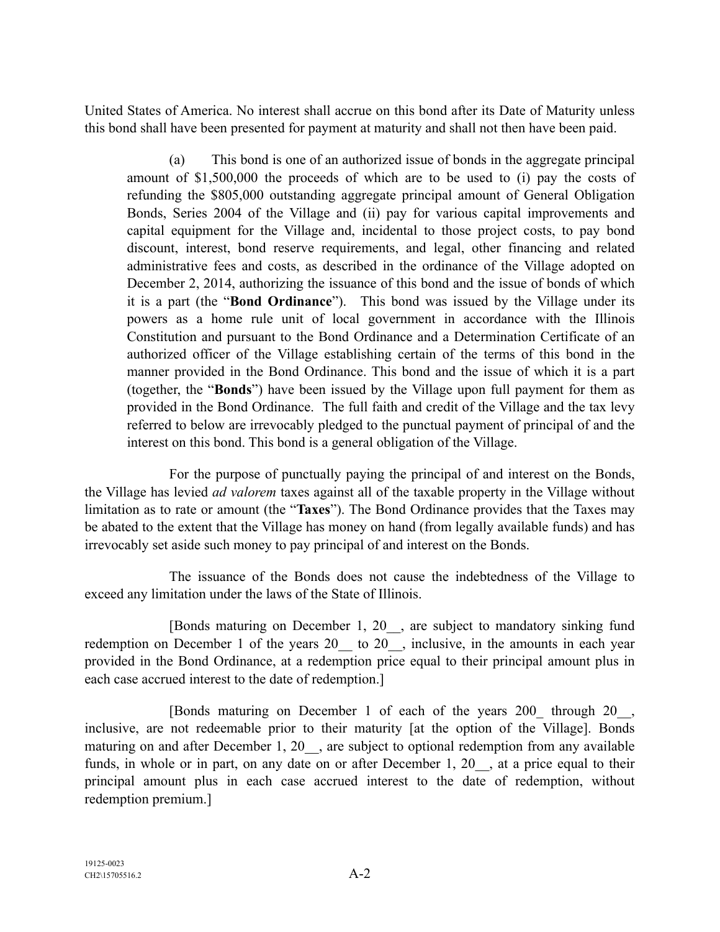United States of America. No interest shall accrue on this bond after its Date of Maturity unless this bond shall have been presented for payment at maturity and shall not then have been paid.

(a) This bond is one of an authorized issue of bonds in the aggregate principal amount of \$1,500,000 the proceeds of which are to be used to (i) pay the costs of refunding the \$805,000 outstanding aggregate principal amount of General Obligation Bonds, Series 2004 of the Village and (ii) pay for various capital improvements and capital equipment for the Village and, incidental to those project costs, to pay bond discount, interest, bond reserve requirements, and legal, other financing and related administrative fees and costs, as described in the ordinance of the Village adopted on December 2, 2014, authorizing the issuance of this bond and the issue of bonds of which it is a part (the "**Bond Ordinance**"). This bond was issued by the Village under its powers as a home rule unit of local government in accordance with the Illinois Constitution and pursuant to the Bond Ordinance and a Determination Certificate of an authorized officer of the Village establishing certain of the terms of this bond in the manner provided in the Bond Ordinance. This bond and the issue of which it is a part (together, the "**Bonds**") have been issued by the Village upon full payment for them as provided in the Bond Ordinance. The full faith and credit of the Village and the tax levy referred to below are irrevocably pledged to the punctual payment of principal of and the interest on this bond. This bond is a general obligation of the Village.

For the purpose of punctually paying the principal of and interest on the Bonds, the Village has levied *ad valorem* taxes against all of the taxable property in the Village without limitation as to rate or amount (the "**Taxes**"). The Bond Ordinance provides that the Taxes may be abated to the extent that the Village has money on hand (from legally available funds) and has irrevocably set aside such money to pay principal of and interest on the Bonds.

The issuance of the Bonds does not cause the indebtedness of the Village to exceed any limitation under the laws of the State of Illinois.

[Bonds maturing on December 1, 20\_\_, are subject to mandatory sinking fund redemption on December 1 of the years 20 to 20 , inclusive, in the amounts in each year provided in the Bond Ordinance, at a redemption price equal to their principal amount plus in each case accrued interest to the date of redemption.]

[Bonds maturing on December 1 of each of the years 200\_ through 20\_\_, inclusive, are not redeemable prior to their maturity [at the option of the Village]. Bonds maturing on and after December 1, 20 , are subject to optional redemption from any available funds, in whole or in part, on any date on or after December 1, 20, at a price equal to their principal amount plus in each case accrued interest to the date of redemption, without redemption premium.]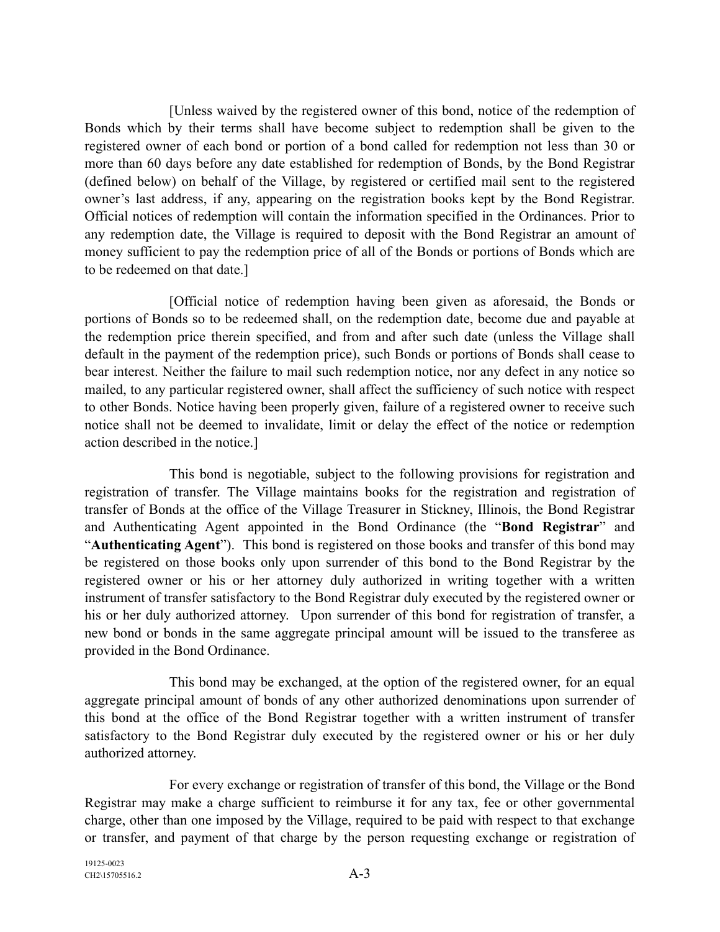[Unless waived by the registered owner of this bond, notice of the redemption of Bonds which by their terms shall have become subject to redemption shall be given to the registered owner of each bond or portion of a bond called for redemption not less than 30 or more than 60 days before any date established for redemption of Bonds, by the Bond Registrar (defined below) on behalf of the Village, by registered or certified mail sent to the registered owner's last address, if any, appearing on the registration books kept by the Bond Registrar. Official notices of redemption will contain the information specified in the Ordinances. Prior to any redemption date, the Village is required to deposit with the Bond Registrar an amount of money sufficient to pay the redemption price of all of the Bonds or portions of Bonds which are to be redeemed on that date.]

[Official notice of redemption having been given as aforesaid, the Bonds or portions of Bonds so to be redeemed shall, on the redemption date, become due and payable at the redemption price therein specified, and from and after such date (unless the Village shall default in the payment of the redemption price), such Bonds or portions of Bonds shall cease to bear interest. Neither the failure to mail such redemption notice, nor any defect in any notice so mailed, to any particular registered owner, shall affect the sufficiency of such notice with respect to other Bonds. Notice having been properly given, failure of a registered owner to receive such notice shall not be deemed to invalidate, limit or delay the effect of the notice or redemption action described in the notice.]

This bond is negotiable, subject to the following provisions for registration and registration of transfer. The Village maintains books for the registration and registration of transfer of Bonds at the office of the Village Treasurer in Stickney, Illinois, the Bond Registrar and Authenticating Agent appointed in the Bond Ordinance (the "**Bond Registrar**" and "**Authenticating Agent**"). This bond is registered on those books and transfer of this bond may be registered on those books only upon surrender of this bond to the Bond Registrar by the registered owner or his or her attorney duly authorized in writing together with a written instrument of transfer satisfactory to the Bond Registrar duly executed by the registered owner or his or her duly authorized attorney. Upon surrender of this bond for registration of transfer, a new bond or bonds in the same aggregate principal amount will be issued to the transferee as provided in the Bond Ordinance.

This bond may be exchanged, at the option of the registered owner, for an equal aggregate principal amount of bonds of any other authorized denominations upon surrender of this bond at the office of the Bond Registrar together with a written instrument of transfer satisfactory to the Bond Registrar duly executed by the registered owner or his or her duly authorized attorney.

For every exchange or registration of transfer of this bond, the Village or the Bond Registrar may make a charge sufficient to reimburse it for any tax, fee or other governmental charge, other than one imposed by the Village, required to be paid with respect to that exchange or transfer, and payment of that charge by the person requesting exchange or registration of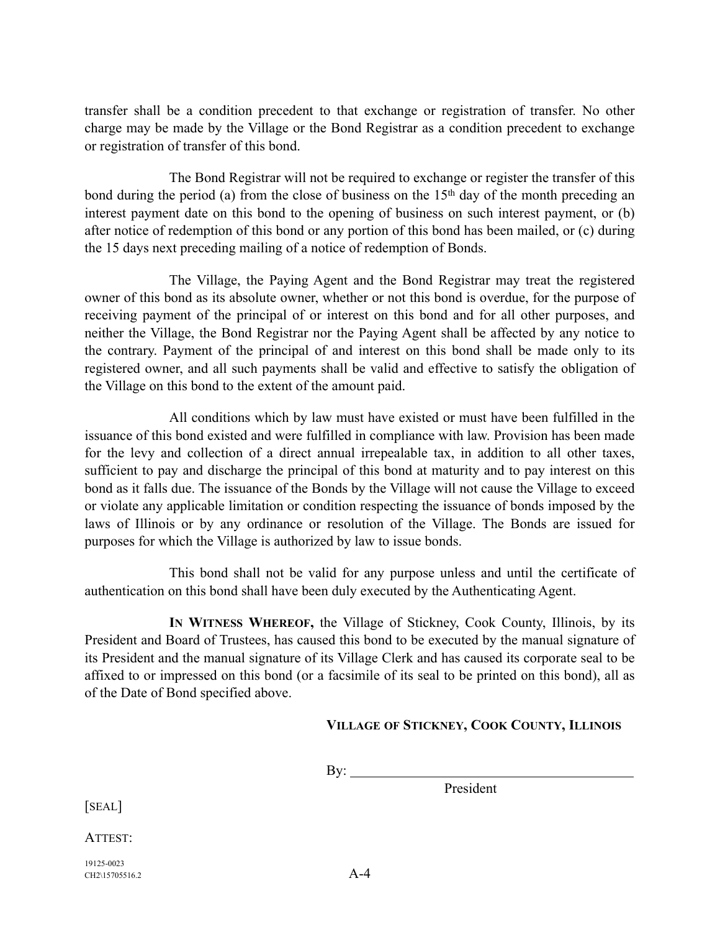transfer shall be a condition precedent to that exchange or registration of transfer. No other charge may be made by the Village or the Bond Registrar as a condition precedent to exchange or registration of transfer of this bond.

The Bond Registrar will not be required to exchange or register the transfer of this bond during the period (a) from the close of business on the 15<sup>th</sup> day of the month preceding an interest payment date on this bond to the opening of business on such interest payment, or (b) after notice of redemption of this bond or any portion of this bond has been mailed, or (c) during the 15 days next preceding mailing of a notice of redemption of Bonds.

The Village, the Paying Agent and the Bond Registrar may treat the registered owner of this bond as its absolute owner, whether or not this bond is overdue, for the purpose of receiving payment of the principal of or interest on this bond and for all other purposes, and neither the Village, the Bond Registrar nor the Paying Agent shall be affected by any notice to the contrary. Payment of the principal of and interest on this bond shall be made only to its registered owner, and all such payments shall be valid and effective to satisfy the obligation of the Village on this bond to the extent of the amount paid.

All conditions which by law must have existed or must have been fulfilled in the issuance of this bond existed and were fulfilled in compliance with law. Provision has been made for the levy and collection of a direct annual irrepealable tax, in addition to all other taxes, sufficient to pay and discharge the principal of this bond at maturity and to pay interest on this bond as it falls due. The issuance of the Bonds by the Village will not cause the Village to exceed or violate any applicable limitation or condition respecting the issuance of bonds imposed by the laws of Illinois or by any ordinance or resolution of the Village. The Bonds are issued for purposes for which the Village is authorized by law to issue bonds.

This bond shall not be valid for any purpose unless and until the certificate of authentication on this bond shall have been duly executed by the Authenticating Agent.

**IN WITNESS WHEREOF,** the Village of Stickney, Cook County, Illinois, by its President and Board of Trustees, has caused this bond to be executed by the manual signature of its President and the manual signature of its Village Clerk and has caused its corporate seal to be affixed to or impressed on this bond (or a facsimile of its seal to be printed on this bond), all as of the Date of Bond specified above.

## **VILLAGE OF STICKNEY, COOK COUNTY, ILLINOIS**

 $\mathbf{By:}$ 

President

[SEAL]

ATTEST:

19125-0023 CH<sub>2</sub>\15705516.2 A-4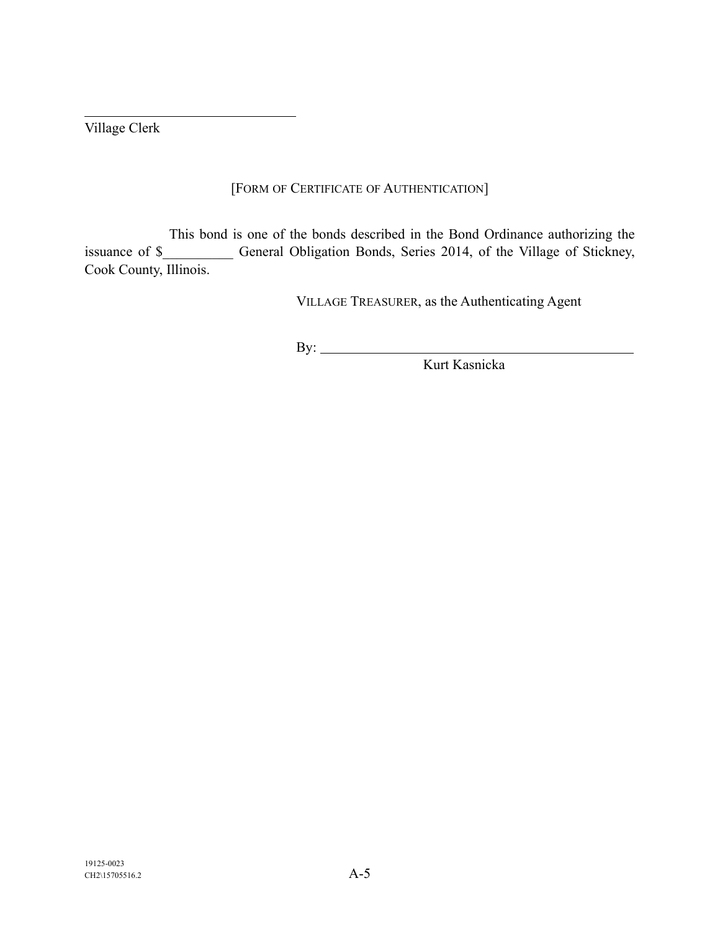Village Clerk

 $\overline{a}$ 

# [FORM OF CERTIFICATE OF AUTHENTICATION]

This bond is one of the bonds described in the Bond Ordinance authorizing the issuance of \$\_\_\_\_\_\_\_\_\_\_ General Obligation Bonds, Series 2014, of the Village of Stickney, Cook County, Illinois.

VILLAGE TREASURER, as the Authenticating Agent

By:

Kurt Kasnicka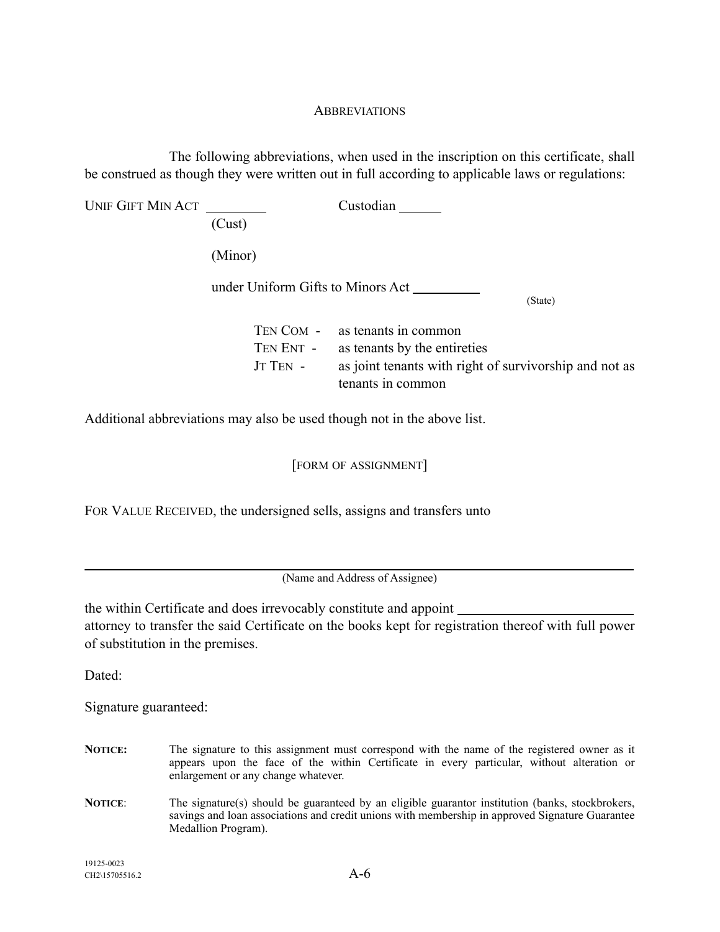### **ABBREVIATIONS**

The following abbreviations, when used in the inscription on this certificate, shall be construed as though they were written out in full according to applicable laws or regulations:

| UNIF GIFT MIN ACT |                                   | Custodian                                                                   |  |  |
|-------------------|-----------------------------------|-----------------------------------------------------------------------------|--|--|
|                   | (Cust)                            |                                                                             |  |  |
|                   | (Minor)                           |                                                                             |  |  |
|                   | under Uniform Gifts to Minors Act |                                                                             |  |  |
|                   |                                   | (State)                                                                     |  |  |
|                   |                                   | TEN COM - as tenants in common                                              |  |  |
|                   | TEN ENT -                         | as tenants by the entireties                                                |  |  |
|                   | JT TEN -                          | as joint tenants with right of survivorship and not as<br>tenants in common |  |  |

Additional abbreviations may also be used though not in the above list.

[FORM OF ASSIGNMENT]

FOR VALUE RECEIVED, the undersigned sells, assigns and transfers unto

(Name and Address of Assignee)

the within Certificate and does irrevocably constitute and appoint attorney to transfer the said Certificate on the books kept for registration thereof with full power of substitution in the premises.

Dated:

Signature guaranteed:

- **NOTICE:** The signature to this assignment must correspond with the name of the registered owner as it appears upon the face of the within Certificate in every particular, without alteration or enlargement or any change whatever.
- **NOTICE:** The signature(s) should be guaranteed by an eligible guarantor institution (banks, stockbrokers, savings and loan associations and credit unions with membership in approved Signature Guarantee Medallion Program).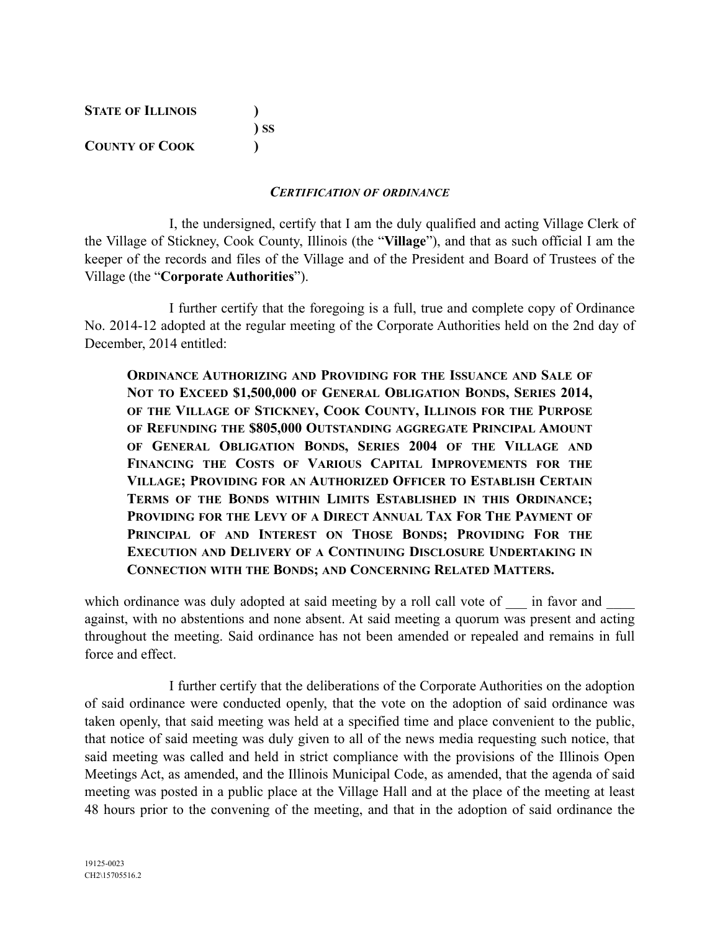| <b>STATE OF ILLINOIS</b> |        |
|--------------------------|--------|
|                          | $\sum$ |
| <b>COUNTY OF COOK</b>    |        |

#### *CERTIFICATION OF ORDINANCE*

I, the undersigned, certify that I am the duly qualified and acting Village Clerk of the Village of Stickney, Cook County, Illinois (the "**Village**"), and that as such official I am the keeper of the records and files of the Village and of the President and Board of Trustees of the Village (the "**Corporate Authorities**").

I further certify that the foregoing is a full, true and complete copy of Ordinance No. 2014-12 adopted at the regular meeting of the Corporate Authorities held on the 2nd day of December, 2014 entitled:

**ORDINANCE AUTHORIZING AND PROVIDING FOR THE ISSUANCE AND SALE OF NOT TO EXCEED \$1,500,000 OF GENERAL OBLIGATION BONDS, SERIES 2014, OF THE VILLAGE OF STICKNEY, COOK COUNTY, ILLINOIS FOR THE PURPOSE OF REFUNDING THE \$805,000 OUTSTANDING AGGREGATE PRINCIPAL AMOUNT OF GENERAL OBLIGATION BONDS, SERIES 2004 OF THE VILLAGE AND FINANCING THE COSTS OF VARIOUS CAPITAL IMPROVEMENTS FOR THE VILLAGE; PROVIDING FOR AN AUTHORIZED OFFICER TO ESTABLISH CERTAIN TERMS OF THE BONDS WITHIN LIMITS ESTABLISHED IN THIS ORDINANCE; PROVIDING FOR THE LEVY OF A DIRECT ANNUAL TAX FOR THE PAYMENT OF PRINCIPAL OF AND INTEREST ON THOSE BONDS; PROVIDING FOR THE EXECUTION AND DELIVERY OF A CONTINUING DISCLOSURE UNDERTAKING IN CONNECTION WITH THE BONDS; AND CONCERNING RELATED MATTERS.**

which ordinance was duly adopted at said meeting by a roll call vote of \_\_\_ in favor and against, with no abstentions and none absent. At said meeting a quorum was present and acting throughout the meeting. Said ordinance has not been amended or repealed and remains in full force and effect.

I further certify that the deliberations of the Corporate Authorities on the adoption of said ordinance were conducted openly, that the vote on the adoption of said ordinance was taken openly, that said meeting was held at a specified time and place convenient to the public, that notice of said meeting was duly given to all of the news media requesting such notice, that said meeting was called and held in strict compliance with the provisions of the Illinois Open Meetings Act, as amended, and the Illinois Municipal Code, as amended, that the agenda of said meeting was posted in a public place at the Village Hall and at the place of the meeting at least 48 hours prior to the convening of the meeting, and that in the adoption of said ordinance the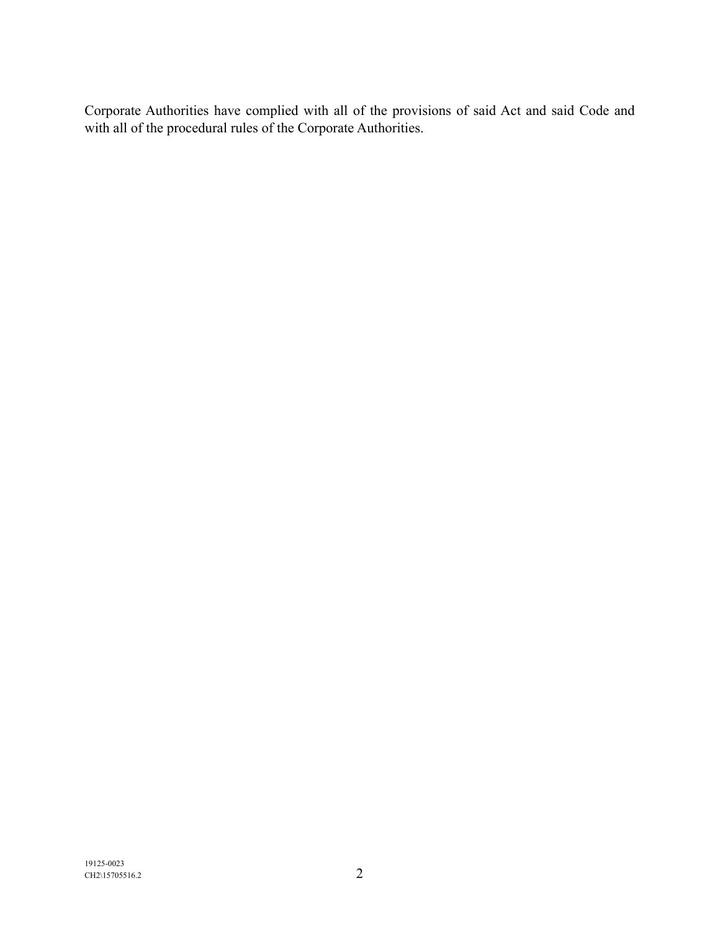Corporate Authorities have complied with all of the provisions of said Act and said Code and with all of the procedural rules of the Corporate Authorities.